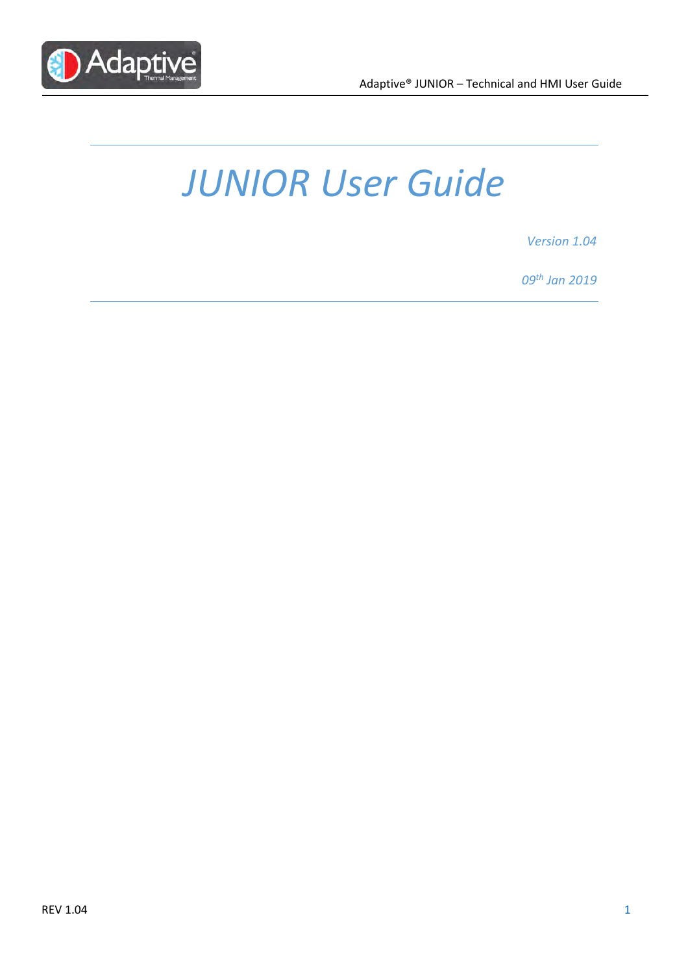

# JUNIOR User Guide

Version 1.04

09th Jan 2019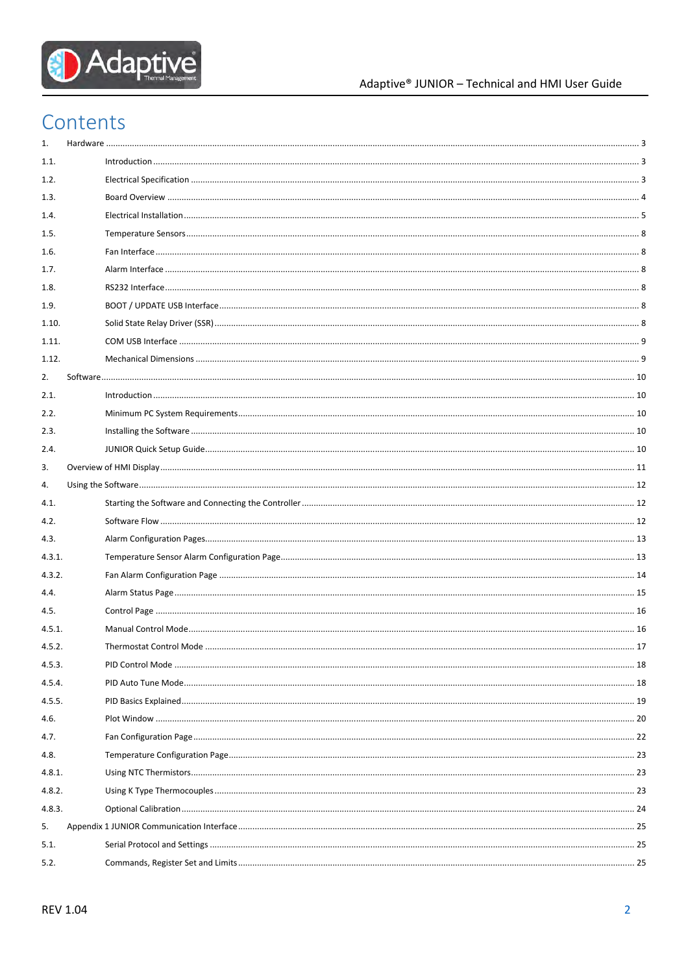

# Contents

| 1.     |  |  |
|--------|--|--|
| 1.1.   |  |  |
| 1.2.   |  |  |
| 1.3.   |  |  |
| 1.4.   |  |  |
| 1.5.   |  |  |
| 1.6.   |  |  |
| 1.7.   |  |  |
| 1.8.   |  |  |
| 1.9.   |  |  |
| 1.10.  |  |  |
| 1.11.  |  |  |
| 1.12.  |  |  |
| 2.     |  |  |
| 2.1.   |  |  |
| 2.2.   |  |  |
| 2.3.   |  |  |
| 2.4.   |  |  |
| 3.     |  |  |
| 4.     |  |  |
|        |  |  |
| 4.1.   |  |  |
| 4.2.   |  |  |
| 4.3.   |  |  |
| 4.3.1. |  |  |
| 4.3.2. |  |  |
| 4.4.   |  |  |
| 4.5.   |  |  |
| 4.5.1. |  |  |
| 4.5.2. |  |  |
| 4.5.3. |  |  |
| 4.5.4. |  |  |
| 4.5.5. |  |  |
| 4.6.   |  |  |
| 4.7.   |  |  |
| 4.8.   |  |  |
| 4.8.1. |  |  |
| 4.8.2. |  |  |
| 4.8.3. |  |  |
| 5.     |  |  |
| 5.1.   |  |  |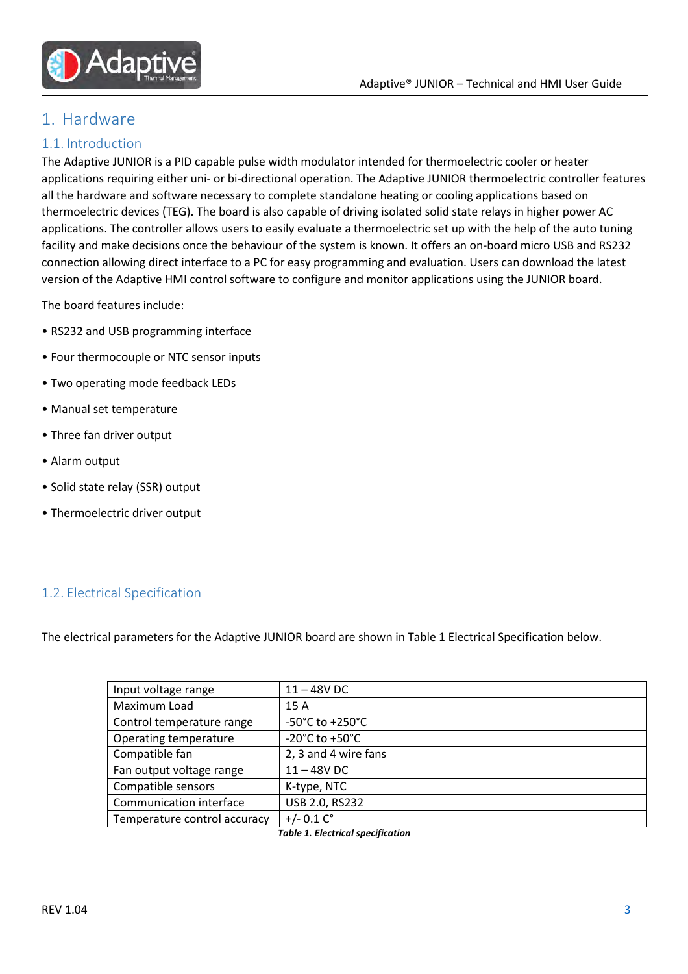

# 1. Hardware

#### 1.1. Introduction

The Adaptive JUNIOR is a PID capable pulse width modulator intended for thermoelectric cooler or heater applications requiring either uni- or bi-directional operation. The Adaptive JUNIOR thermoelectric controller features all the hardware and software necessary to complete standalone heating or cooling applications based on thermoelectric devices (TEG). The board is also capable of driving isolated solid state relays in higher power AC applications. The controller allows users to easily evaluate a thermoelectric set up with the help of the auto tuning facility and make decisions once the behaviour of the system is known. It offers an on-board micro USB and RS232 connection allowing direct interface to a PC for easy programming and evaluation. Users can download the latest version of the Adaptive HMI control software to configure and monitor applications using the JUNIOR board.

The board features include:

- RS232 and USB programming interface
- Four thermocouple or NTC sensor inputs
- Two operating mode feedback LEDs
- Manual set temperature
- Three fan driver output
- Alarm output
- Solid state relay (SSR) output
- Thermoelectric driver output

#### 1.2. Electrical Specification

The electrical parameters for the Adaptive JUNIOR board are shown in Table 1 Electrical Specification below.

| Input voltage range          | $11 - 48V$ DC                        |
|------------------------------|--------------------------------------|
| Maximum Load                 | 15A                                  |
| Control temperature range    | $-50^{\circ}$ C to $+250^{\circ}$ C  |
| Operating temperature        | -20 $^{\circ}$ C to +50 $^{\circ}$ C |
| Compatible fan               | 2, 3 and 4 wire fans                 |
| Fan output voltage range     | $11 - 48V$ DC                        |
| Compatible sensors           | K-type, NTC                          |
| Communication interface      | USB 2.0, RS232                       |
| Temperature control accuracy | $+/- 0.1 Co$                         |

Table 1. Electrical specification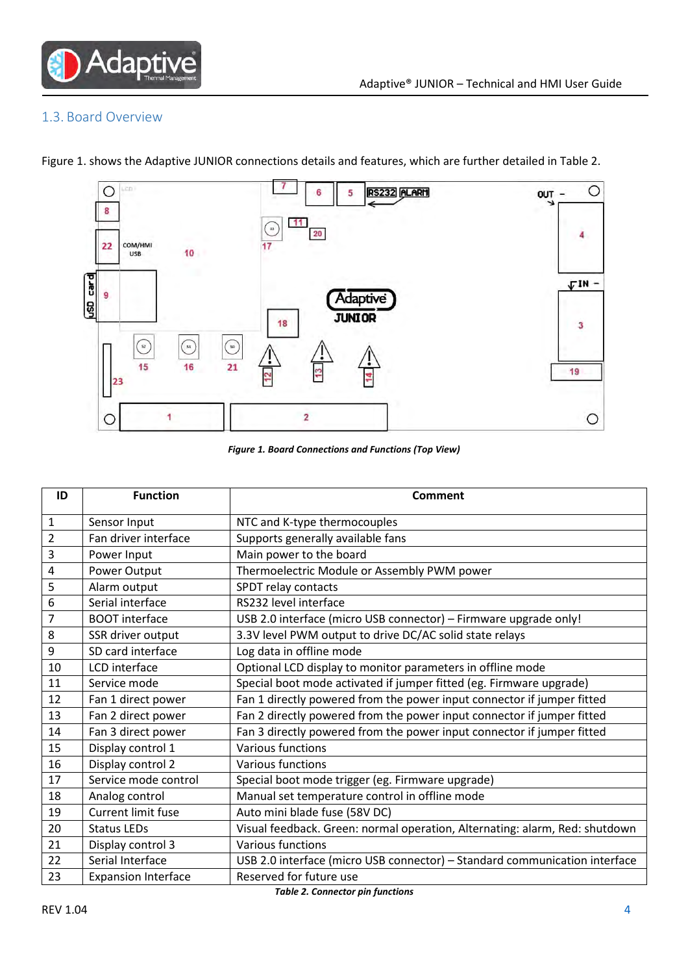

#### 1.3. Board Overview

- $\circ$  $\circ$ Lico RS232 ALARM 6 5 OUT -8  $-11$ 20  $\overline{4}$ COM/HMI<br>USB  $22$ 10 usD card  $\nabla$ IN -9 Adaptive **JUNIOR** 18  $\overline{\mathbf{3}}$  $\odot$  $\odot$  $\odot$ Ţ  $15$ 16  $21$ 19  $2<sub>3</sub>$ 1  $\overline{2}$  $\circ$  $\circ$
- Figure 1. shows the Adaptive JUNIOR connections details and features, which are further detailed in Table 2.

Figure 1. Board Connections and Functions (Top View)

| ID             | <b>Function</b>            | Comment                                                                     |
|----------------|----------------------------|-----------------------------------------------------------------------------|
| $\mathbf 1$    | Sensor Input               | NTC and K-type thermocouples                                                |
| $\overline{2}$ | Fan driver interface       | Supports generally available fans                                           |
| 3              | Power Input                | Main power to the board                                                     |
| 4              | Power Output               | Thermoelectric Module or Assembly PWM power                                 |
| 5              | Alarm output               | SPDT relay contacts                                                         |
| 6              | Serial interface           | RS232 level interface                                                       |
| 7              | <b>BOOT</b> interface      | USB 2.0 interface (micro USB connector) - Firmware upgrade only!            |
| 8              | SSR driver output          | 3.3V level PWM output to drive DC/AC solid state relays                     |
| 9              | SD card interface          | Log data in offline mode                                                    |
| 10             | LCD interface              | Optional LCD display to monitor parameters in offline mode                  |
| 11             | Service mode               | Special boot mode activated if jumper fitted (eg. Firmware upgrade)         |
| 12             | Fan 1 direct power         | Fan 1 directly powered from the power input connector if jumper fitted      |
| 13             | Fan 2 direct power         | Fan 2 directly powered from the power input connector if jumper fitted      |
| 14             | Fan 3 direct power         | Fan 3 directly powered from the power input connector if jumper fitted      |
| 15             | Display control 1          | Various functions                                                           |
| 16             | Display control 2          | <b>Various functions</b>                                                    |
| 17             | Service mode control       | Special boot mode trigger (eg. Firmware upgrade)                            |
| 18             | Analog control             | Manual set temperature control in offline mode                              |
| 19             | <b>Current limit fuse</b>  | Auto mini blade fuse (58V DC)                                               |
| 20             | <b>Status LEDs</b>         | Visual feedback. Green: normal operation, Alternating: alarm, Red: shutdown |
| 21             | Display control 3          | Various functions                                                           |
| 22             | Serial Interface           | USB 2.0 interface (micro USB connector) - Standard communication interface  |
| 23             | <b>Expansion Interface</b> | Reserved for future use                                                     |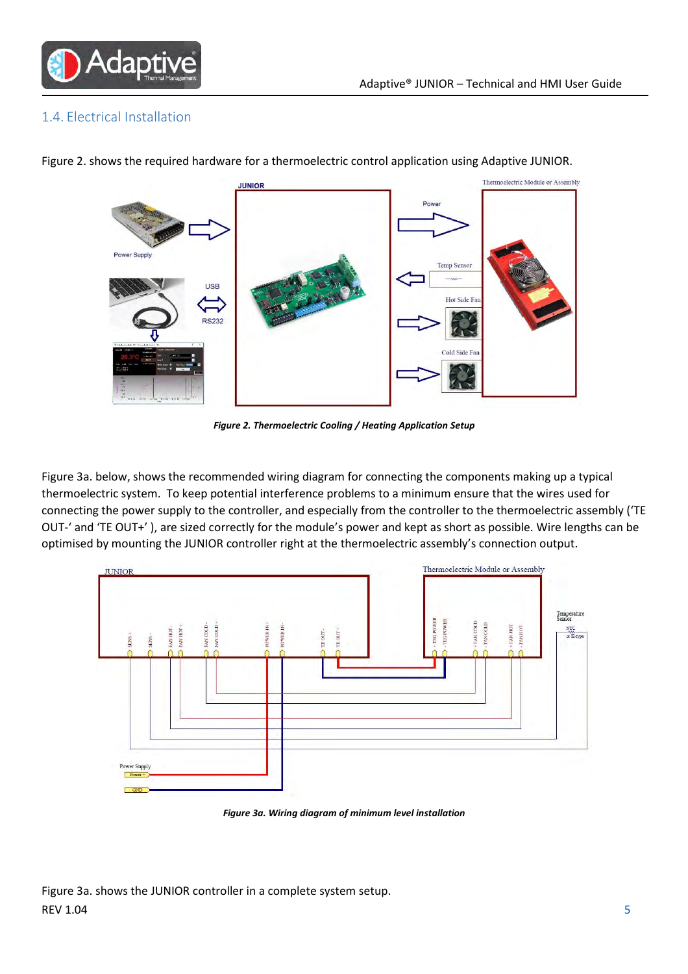

#### 1.4. Electrical Installation



Figure 2. shows the required hardware for a thermoelectric control application using Adaptive JUNIOR.

Figure 2. Thermoelectric Cooling / Heating Application Setup

Figure 3a. below, shows the recommended wiring diagram for connecting the components making up a typical thermoelectric system. To keep potential interference problems to a minimum ensure that the wires used for connecting the power supply to the controller, and especially from the controller to the thermoelectric assembly ('TE OUT-' and 'TE OUT+' ), are sized correctly for the module's power and kept as short as possible. Wire lengths can be optimised by mounting the JUNIOR controller right at the thermoelectric assembly's connection output.



Figure 3a. Wiring diagram of minimum level installation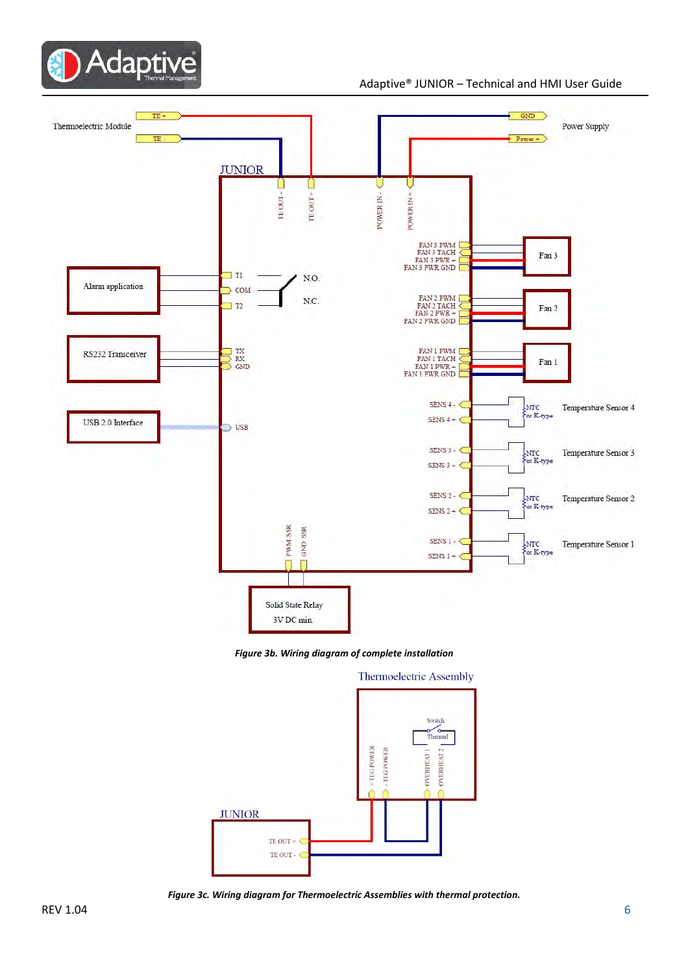

#### Adaptive® JUNIOR – Technical and HMI User Guide



Figure 3b. Wiring diagram of complete installation



Figure 3c. Wiring diagram for Thermoelectric Assemblies with thermal protection.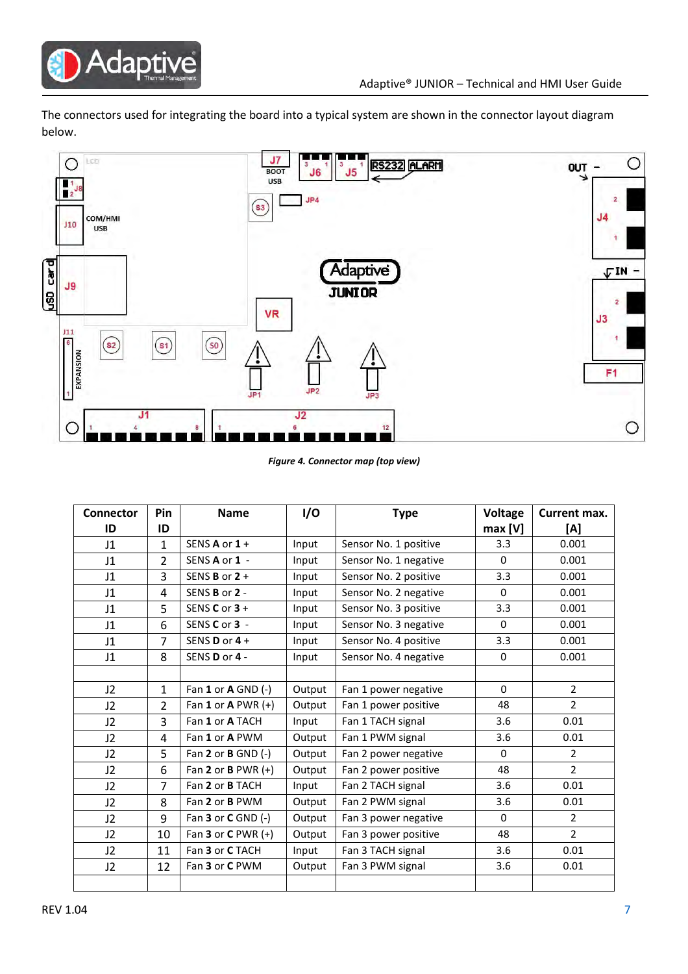

The connectors used for integrating the board into a typical system are shown in the connector layout diagram below.



Figure 4. Connector map (top view)

| <b>Connector</b> | Pin            | <b>Name</b>              | I/O    | <b>Type</b>           | <b>Voltage</b> | Current max.   |
|------------------|----------------|--------------------------|--------|-----------------------|----------------|----------------|
| ID               | ID             |                          |        |                       | max [V]        | [A]            |
| J1               | $\mathbf{1}$   | SENS $A$ or $1 +$        | Input  | Sensor No. 1 positive | 3.3            | 0.001          |
| J1               | 2              | SENS A or 1 -            | Input  | Sensor No. 1 negative | $\Omega$       | 0.001          |
| J1               | 3              | SENS <b>B</b> or 2 +     | Input  | Sensor No. 2 positive | 3.3            | 0.001          |
| J1               | 4              | SENS B or 2 -            | Input  | Sensor No. 2 negative | $\Omega$       | 0.001          |
| J1               | 5              | SENS $C$ or $3 +$        | Input  | Sensor No. 3 positive | 3.3            | 0.001          |
| J1               | 6              | SENS C or 3 -            | Input  | Sensor No. 3 negative | $\Omega$       | 0.001          |
| J1               | $\overline{7}$ | SENS <b>D</b> or $4 +$   | Input  | Sensor No. 4 positive | 3.3            | 0.001          |
| J1               | 8              | SENS D or 4 -            | Input  | Sensor No. 4 negative | $\Omega$       | 0.001          |
|                  |                |                          |        |                       |                |                |
| 12               | $\mathbf{1}$   | Fan 1 or A GND (-)       | Output | Fan 1 power negative  | $\Omega$       | $\overline{2}$ |
| J2               | 2              | Fan 1 or A PWR $(+)$     | Output | Fan 1 power positive  | 48             | $\overline{2}$ |
| J2               | 3              | Fan 1 or A TACH          | Input  | Fan 1 TACH signal     | 3.6            | 0.01           |
| J2               | 4              | Fan 1 or A PWM           | Output | Fan 1 PWM signal      | 3.6            | 0.01           |
| J2               | 5              | Fan 2 or $B$ GND $(-)$   | Output | Fan 2 power negative  | $\Omega$       | $\overline{2}$ |
| J2               | 6              | Fan 2 or B PWR $(+)$     | Output | Fan 2 power positive  | 48             | $\overline{2}$ |
| J2               | $\overline{7}$ | Fan 2 or B TACH          | Input  | Fan 2 TACH signal     | 3.6            | 0.01           |
| J2               | 8              | Fan 2 or B PWM           | Output | Fan 2 PWM signal      | 3.6            | 0.01           |
| J2               | 9              | Fan $3$ or $C$ GND $(-)$ | Output | Fan 3 power negative  | $\Omega$       | $\overline{2}$ |
| J2               | 10             | Fan $3$ or $C$ PWR $(+)$ | Output | Fan 3 power positive  | 48             | $\mathcal{L}$  |
| J2               | 11             | Fan 3 or C TACH          | Input  | Fan 3 TACH signal     | 3.6            | 0.01           |
| J2               | 12             | Fan 3 or C PWM           | Output | Fan 3 PWM signal      | 3.6            | 0.01           |
|                  |                |                          |        |                       |                |                |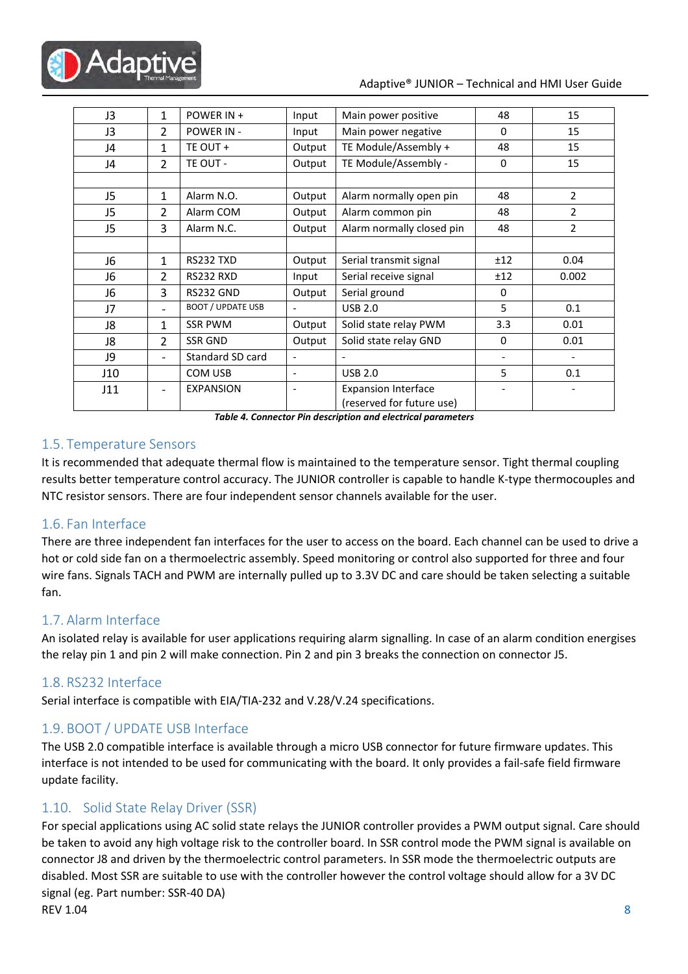

#### Adaptive® JUNIOR – Technical and HMI User Guide

| J3             | $\mathbf{1}$             | POWER IN +               | Input                        | Main power positive                                     | 48           | 15             |
|----------------|--------------------------|--------------------------|------------------------------|---------------------------------------------------------|--------------|----------------|
| J3             | 2                        | POWER IN -               | Input                        | Main power negative                                     | $\mathbf{0}$ | 15             |
| J4             | 1                        | TE OUT +                 | Output                       | TE Module/Assembly +                                    | 48           | 15             |
| J4             | 2                        | TE OUT -                 | Output                       | TE Module/Assembly -                                    | $\Omega$     | 15             |
|                |                          |                          |                              |                                                         |              |                |
| J5             | $\mathbf{1}$             | Alarm N.O.               | Output                       | Alarm normally open pin                                 | 48           | $\overline{2}$ |
| J5             | 2                        | Alarm COM                | Output                       | Alarm common pin                                        | 48           | 2              |
| J5             | 3                        | Alarm N.C.               | Output                       | Alarm normally closed pin                               | 48           | 2              |
|                |                          |                          |                              |                                                         |              |                |
| J6             | 1                        | RS232 TXD                | Output                       | Serial transmit signal                                  | ±12          | 0.04           |
| J6             | 2                        | RS232 RXD                | Input                        | Serial receive signal                                   |              | 0.002          |
| J <sub>6</sub> | 3                        | RS232 GND                | Output                       | Serial ground                                           | $\Omega$     |                |
| J7             | $\overline{\phantom{0}}$ | <b>BOOT / UPDATE USB</b> | $\qquad \qquad \blacksquare$ | <b>USB 2.0</b>                                          | 5            | 0.1            |
| J8             | 1                        | <b>SSR PWM</b>           | Output                       | Solid state relay PWM                                   | 3.3          | 0.01           |
| J8             | 2                        | <b>SSR GND</b>           | Output                       | Solid state relay GND                                   | $\mathbf{0}$ | 0.01           |
| J9             | $\overline{\phantom{0}}$ | Standard SD card         | $\overline{\phantom{a}}$     |                                                         |              |                |
| J10            |                          | COM USB                  | $\qquad \qquad \blacksquare$ | <b>USB 2.0</b>                                          | 5            | 0.1            |
| J11            |                          | <b>EXPANSION</b>         | $\overline{a}$               | <b>Expansion Interface</b><br>(reserved for future use) |              |                |

Table 4. Connector Pin description and electrical parameters

#### 1.5. Temperature Sensors

It is recommended that adequate thermal flow is maintained to the temperature sensor. Tight thermal coupling results better temperature control accuracy. The JUNIOR controller is capable to handle K-type thermocouples and NTC resistor sensors. There are four independent sensor channels available for the user.

#### 1.6. Fan Interface

There are three independent fan interfaces for the user to access on the board. Each channel can be used to drive a hot or cold side fan on a thermoelectric assembly. Speed monitoring or control also supported for three and four wire fans. Signals TACH and PWM are internally pulled up to 3.3V DC and care should be taken selecting a suitable fan.

#### 1.7. Alarm Interface

An isolated relay is available for user applications requiring alarm signalling. In case of an alarm condition energises the relay pin 1 and pin 2 will make connection. Pin 2 and pin 3 breaks the connection on connector J5.

#### 1.8. RS232 Interface

Serial interface is compatible with EIA/TIA-232 and V.28/V.24 specifications.

#### 1.9. BOOT / UPDATE USB Interface

The USB 2.0 compatible interface is available through a micro USB connector for future firmware updates. This interface is not intended to be used for communicating with the board. It only provides a fail-safe field firmware update facility.

#### 1.10. Solid State Relay Driver (SSR)

REV  $1.04$  8 For special applications using AC solid state relays the JUNIOR controller provides a PWM output signal. Care should be taken to avoid any high voltage risk to the controller board. In SSR control mode the PWM signal is available on connector J8 and driven by the thermoelectric control parameters. In SSR mode the thermoelectric outputs are disabled. Most SSR are suitable to use with the controller however the control voltage should allow for a 3V DC signal (eg. Part number: SSR-40 DA)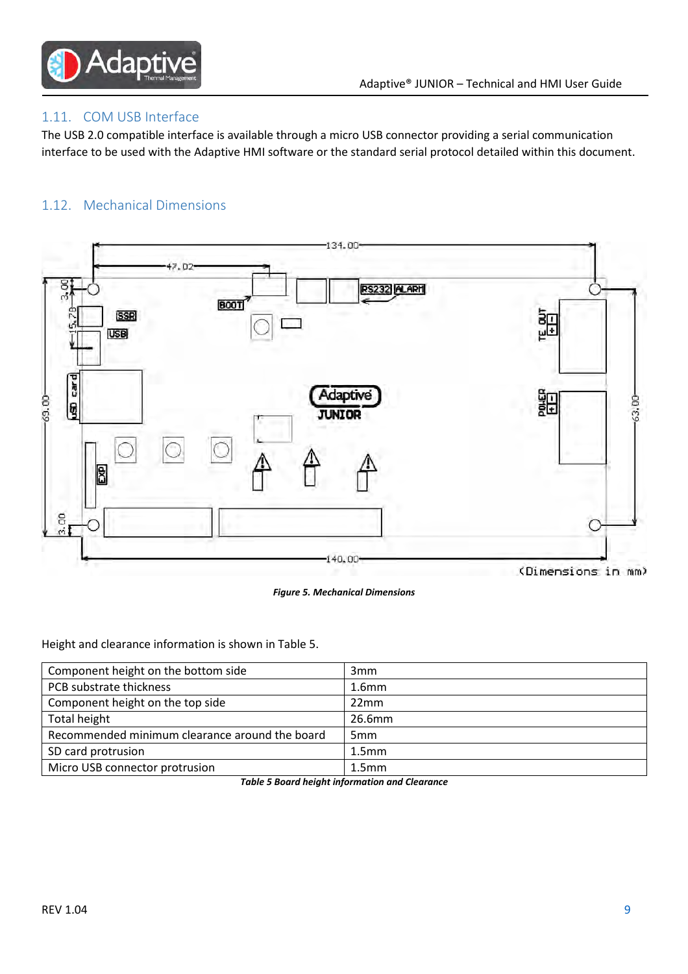

#### 1.11. COM USB Interface

The USB 2.0 compatible interface is available through a micro USB connector providing a serial communication interface to be used with the Adaptive HMI software or the standard serial protocol detailed within this document.

#### 1.12. Mechanical Dimensions



Figure 5. Mechanical Dimensions

Height and clearance information is shown in Table 5.

| Component height on the bottom side            | 3 <sub>mm</sub>   |
|------------------------------------------------|-------------------|
| PCB substrate thickness                        | 1.6 <sub>mm</sub> |
| Component height on the top side               | 22mm              |
| Total height                                   | 26.6mm            |
| Recommended minimum clearance around the board | 5 <sub>mm</sub>   |
| SD card protrusion                             | 1.5 <sub>mm</sub> |
| Micro USB connector protrusion                 | 1.5 <sub>mm</sub> |

Table 5 Board height information and Clearance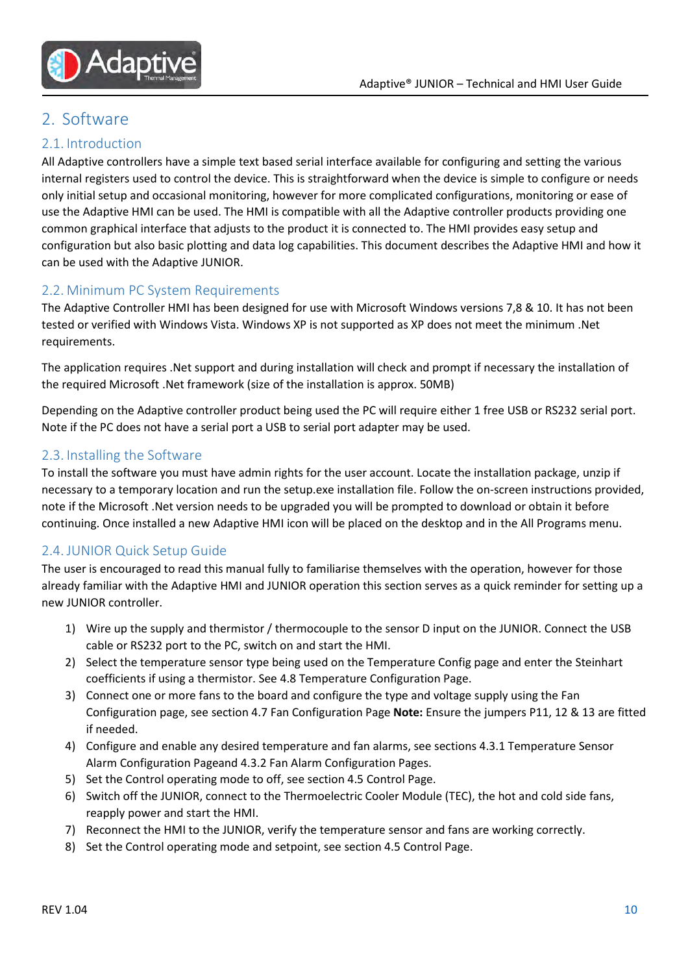

# 2. Software

#### 2.1. Introduction

All Adaptive controllers have a simple text based serial interface available for configuring and setting the various internal registers used to control the device. This is straightforward when the device is simple to configure or needs only initial setup and occasional monitoring, however for more complicated configurations, monitoring or ease of use the Adaptive HMI can be used. The HMI is compatible with all the Adaptive controller products providing one common graphical interface that adjusts to the product it is connected to. The HMI provides easy setup and configuration but also basic plotting and data log capabilities. This document describes the Adaptive HMI and how it can be used with the Adaptive JUNIOR.

#### 2.2. Minimum PC System Requirements

The Adaptive Controller HMI has been designed for use with Microsoft Windows versions 7,8 & 10. It has not been tested or verified with Windows Vista. Windows XP is not supported as XP does not meet the minimum .Net requirements.

The application requires .Net support and during installation will check and prompt if necessary the installation of the required Microsoft .Net framework (size of the installation is approx. 50MB)

Depending on the Adaptive controller product being used the PC will require either 1 free USB or RS232 serial port. Note if the PC does not have a serial port a USB to serial port adapter may be used.

#### 2.3. Installing the Software

To install the software you must have admin rights for the user account. Locate the installation package, unzip if necessary to a temporary location and run the setup.exe installation file. Follow the on-screen instructions provided, note if the Microsoft .Net version needs to be upgraded you will be prompted to download or obtain it before continuing. Once installed a new Adaptive HMI icon will be placed on the desktop and in the All Programs menu.

#### 2.4. JUNIOR Quick Setup Guide

The user is encouraged to read this manual fully to familiarise themselves with the operation, however for those already familiar with the Adaptive HMI and JUNIOR operation this section serves as a quick reminder for setting up a new JUNIOR controller.

- 1) Wire up the supply and thermistor / thermocouple to the sensor D input on the JUNIOR. Connect the USB cable or RS232 port to the PC, switch on and start the HMI.
- 2) Select the temperature sensor type being used on the Temperature Config page and enter the Steinhart coefficients if using a thermistor. See 4.8 Temperature Configuration Page.
- 3) Connect one or more fans to the board and configure the type and voltage supply using the Fan Configuration page, see section 4.7 Fan Configuration Page Note: Ensure the jumpers P11, 12 & 13 are fitted if needed.
- 4) Configure and enable any desired temperature and fan alarms, see sections 4.3.1 Temperature Sensor Alarm Configuration Pageand 4.3.2 Fan Alarm Configuration Pages.
- 5) Set the Control operating mode to off, see section 4.5 Control Page.
- 6) Switch off the JUNIOR, connect to the Thermoelectric Cooler Module (TEC), the hot and cold side fans, reapply power and start the HMI.
- 7) Reconnect the HMI to the JUNIOR, verify the temperature sensor and fans are working correctly.
- 8) Set the Control operating mode and setpoint, see section 4.5 Control Page.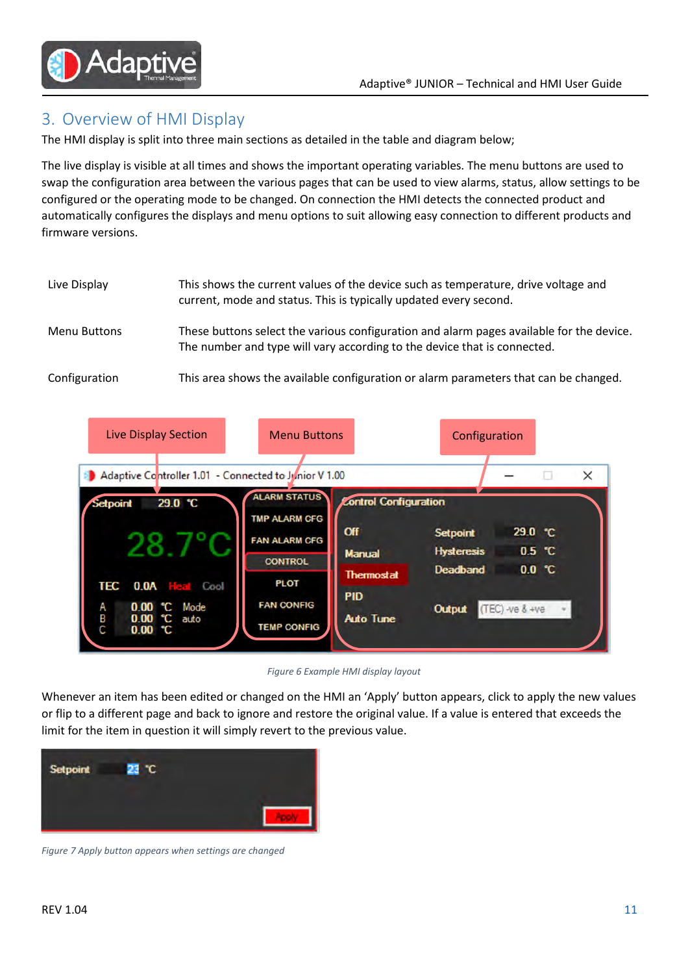

# 3. Overview of HMI Display

The HMI display is split into three main sections as detailed in the table and diagram below;

The live display is visible at all times and shows the important operating variables. The menu buttons are used to swap the configuration area between the various pages that can be used to view alarms, status, allow settings to be configured or the operating mode to be changed. On connection the HMI detects the connected product and automatically configures the displays and menu options to suit allowing easy connection to different products and firmware versions.

| Live Display        | This shows the current values of the device such as temperature, drive voltage and<br>current, mode and status. This is typically updated every second.              |
|---------------------|----------------------------------------------------------------------------------------------------------------------------------------------------------------------|
| <b>Menu Buttons</b> | These buttons select the various configuration and alarm pages available for the device.<br>The number and type will vary according to the device that is connected. |
| Configuration       | This area shows the available configuration or alarm parameters that can be changed.                                                                                 |



Figure 6 Example HMI display layout

Whenever an item has been edited or changed on the HMI an 'Apply' button appears, click to apply the new values or flip to a different page and back to ignore and restore the original value. If a value is entered that exceeds the limit for the item in question it will simply revert to the previous value.



Figure 7 Apply button appears when settings are changed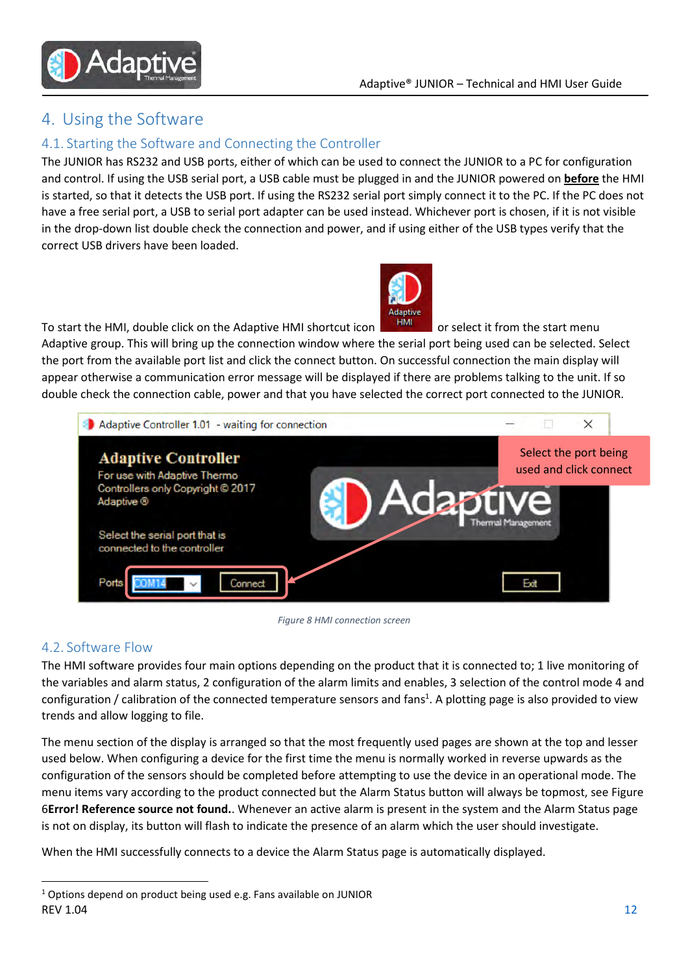

# 4. Using the Software

#### 4.1. Starting the Software and Connecting the Controller

The JUNIOR has RS232 and USB ports, either of which can be used to connect the JUNIOR to a PC for configuration and control. If using the USB serial port, a USB cable must be plugged in and the JUNIOR powered on **before** the HMI is started, so that it detects the USB port. If using the RS232 serial port simply connect it to the PC. If the PC does not have a free serial port, a USB to serial port adapter can be used instead. Whichever port is chosen, if it is not visible in the drop-down list double check the connection and power, and if using either of the USB types verify that the correct USB drivers have been loaded.



To start the HMI, double click on the Adaptive HMI shortcut icon **FIMI** or select it from the start menu

Adaptive group. This will bring up the connection window where the serial port being used can be selected. Select the port from the available port list and click the connect button. On successful connection the main display will appear otherwise a communication error message will be displayed if there are problems talking to the unit. If so double check the connection cable, power and that you have selected the correct port connected to the JUNIOR.



Figure 8 HMI connection screen

#### 4.2. Software Flow

 $\overline{a}$ 

The HMI software provides four main options depending on the product that it is connected to; 1 live monitoring of the variables and alarm status, 2 configuration of the alarm limits and enables, 3 selection of the control mode 4 and configuration / calibration of the connected temperature sensors and fans<sup>1</sup>. A plotting page is also provided to view trends and allow logging to file.

The menu section of the display is arranged so that the most frequently used pages are shown at the top and lesser used below. When configuring a device for the first time the menu is normally worked in reverse upwards as the configuration of the sensors should be completed before attempting to use the device in an operational mode. The menu items vary according to the product connected but the Alarm Status button will always be topmost, see Figure 6Error! Reference source not found.. Whenever an active alarm is present in the system and the Alarm Status page is not on display, its button will flash to indicate the presence of an alarm which the user should investigate.

When the HMI successfully connects to a device the Alarm Status page is automatically displayed.

 $REV 1.04$  and  $12$  $1$  Options depend on product being used e.g. Fans available on JUNIOR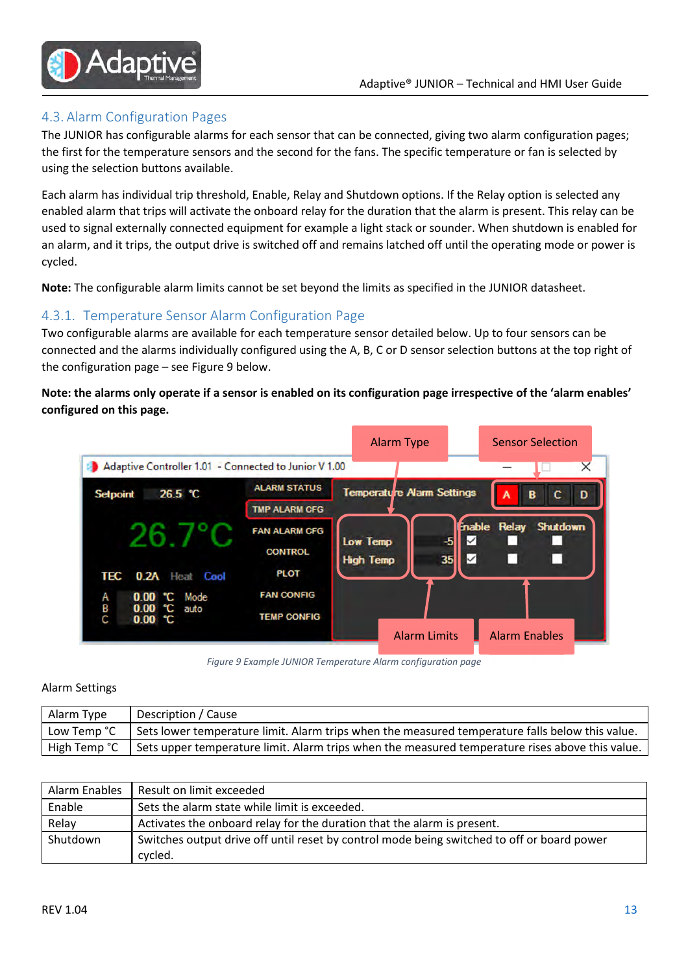

#### 4.3. Alarm Configuration Pages

The JUNIOR has configurable alarms for each sensor that can be connected, giving two alarm configuration pages; the first for the temperature sensors and the second for the fans. The specific temperature or fan is selected by using the selection buttons available.

Each alarm has individual trip threshold, Enable, Relay and Shutdown options. If the Relay option is selected any enabled alarm that trips will activate the onboard relay for the duration that the alarm is present. This relay can be used to signal externally connected equipment for example a light stack or sounder. When shutdown is enabled for an alarm, and it trips, the output drive is switched off and remains latched off until the operating mode or power is cycled.

Note: The configurable alarm limits cannot be set beyond the limits as specified in the JUNIOR datasheet.

#### 4.3.1. Temperature Sensor Alarm Configuration Page

Two configurable alarms are available for each temperature sensor detailed below. Up to four sensors can be connected and the alarms individually configured using the A, B, C or D sensor selection buttons at the top right of the configuration page – see Figure 9 below.

Note: the alarms only operate if a sensor is enabled on its configuration page irrespective of the 'alarm enables' configured on this page.



Figure 9 Example JUNIOR Temperature Alarm configuration page

#### Alarm Settings

| Alarm Type | Description / Cause                                                                                                  |
|------------|----------------------------------------------------------------------------------------------------------------------|
|            | Low Temp $^{\circ}C$ Sets lower temperature limit. Alarm trips when the measured temperature falls below this value. |
|            |                                                                                                                      |

| Alarm Enables | Result on limit exceeded                                                                              |
|---------------|-------------------------------------------------------------------------------------------------------|
| Enable        | Sets the alarm state while limit is exceeded.                                                         |
| Relay         | Activates the onboard relay for the duration that the alarm is present.                               |
| Shutdown      | Switches output drive off until reset by control mode being switched to off or board power<br>cycled. |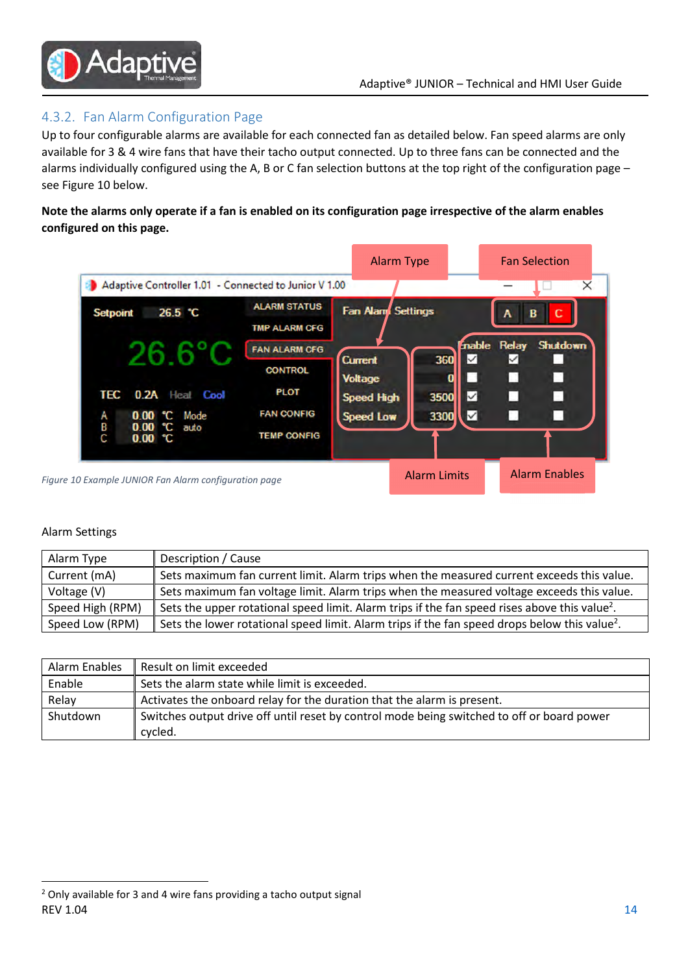

#### 4.3.2. Fan Alarm Configuration Page

Up to four configurable alarms are available for each connected fan as detailed below. Fan speed alarms are only available for 3 & 4 wire fans that have their tacho output connected. Up to three fans can be connected and the alarms individually configured using the A, B or C fan selection buttons at the top right of the configuration page – see Figure 10 below.

Note the alarms only operate if a fan is enabled on its configuration page irrespective of the alarm enables configured on this page.

|                                                       |                                             | <b>Alarm Type</b>                |                     |                       | <b>Fan Selection</b> |
|-------------------------------------------------------|---------------------------------------------|----------------------------------|---------------------|-----------------------|----------------------|
| Adaptive Controller 1.01 - Connected to Junior V 1.00 |                                             |                                  |                     |                       |                      |
| 26.5 °C<br>Setpoint                                   | <b>ALARM STATUS</b><br><b>TMP ALARM CFG</b> | Fan Alam Settings                |                     | в<br>Α                |                      |
|                                                       | <b>FAN ALARM CFG</b><br><b>CONTROL</b>      | <b>Current</b><br><b>Voltage</b> | 360<br>$\checkmark$ | mable Relay<br>✓<br>D | Shutdown<br>П        |
| TEC<br><b>0.2A</b> Heat Cool                          | <b>PLOT</b>                                 | <b>Speed High</b>                | ✓<br>3500           | п                     | □                    |
| 0.00 °C Mode<br>Α<br>B<br>0.00 °C auto<br>С<br>0.00C  | <b>FAN CONFIG</b><br><b>TEMP CONFIG</b>     | <b>Speed Low</b>                 | ∇<br>3300           | ÷.                    | o                    |
| 10 Example JUNIOR Fan Alarm configuration page        |                                             |                                  | <b>Alarm Limits</b> |                       | <b>Alarm Enables</b> |

#### Alarm Settings

Figure

 $\overline{a}$ 

| Alarm Type       | Description / Cause                                                                                       |
|------------------|-----------------------------------------------------------------------------------------------------------|
| Current (mA)     | Sets maximum fan current limit. Alarm trips when the measured current exceeds this value.                 |
| Voltage (V)      | Sets maximum fan voltage limit. Alarm trips when the measured voltage exceeds this value.                 |
| Speed High (RPM) | Sets the upper rotational speed limit. Alarm trips if the fan speed rises above this value <sup>2</sup> . |
| Speed Low (RPM)  | Sets the lower rotational speed limit. Alarm trips if the fan speed drops below this value <sup>2</sup> . |

| Alarm Enables | Result on limit exceeded                                                                              |
|---------------|-------------------------------------------------------------------------------------------------------|
| Enable        | Sets the alarm state while limit is exceeded.                                                         |
| Relay         | Activates the onboard relay for the duration that the alarm is present.                               |
| Shutdown      | Switches output drive off until reset by control mode being switched to off or board power<br>cvcled. |
|               |                                                                                                       |

 $REV 1.04$  and  $14$ <sup>2</sup> Only available for 3 and 4 wire fans providing a tacho output signal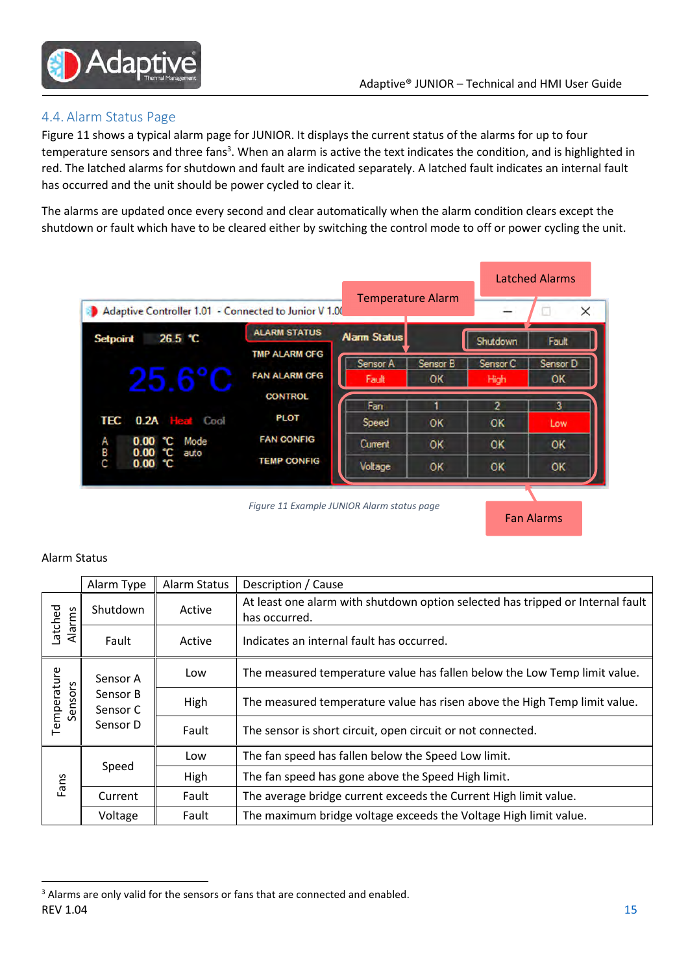Fan Alarms



#### 4.4. Alarm Status Page

Figure 11 shows a typical alarm page for JUNIOR. It displays the current status of the alarms for up to four temperature sensors and three fans<sup>3</sup>. When an alarm is active the text indicates the condition, and is highlighted in red. The latched alarms for shutdown and fault are indicated separately. A latched fault indicates an internal fault has occurred and the unit should be power cycled to clear it.

The alarms are updated once every second and clear automatically when the alarm condition clears except the shutdown or fault which have to be cleared either by switching the control mode to off or power cycling the unit.

|                                                           |                                              |                          |                        |                             | Latched Alarms |
|-----------------------------------------------------------|----------------------------------------------|--------------------------|------------------------|-----------------------------|----------------|
| Adaptive Controller 1.01 - Connected to Junior V 1.00     |                                              | <b>Temperature Alarm</b> |                        |                             | X              |
| 26.5 °C<br><b>Setpoint</b>                                | <b>ALARM STATUS</b>                          | <b>Alarm Status</b>      |                        | Shutdown                    | Fault          |
| $25.6^{\circ}$ C                                          | <b>TMP ALARM CFG</b><br><b>FAN ALARM CFG</b> | Sensor A<br>Fault        | Sensor B<br><b>OK</b>  | Sensor <sub>C</sub><br>High | Sensor D<br>OK |
| <b>TEC</b><br>$0.2A$ Het<br>Cool                          | <b>CONTROL</b><br><b>PLOT</b>                | Fan<br>Speed             | OK                     | 2<br>OK                     | 3<br>Low       |
| <b>0.00 °C</b> Mode<br>Α<br>В<br>0.00 C<br>auto<br>0.00 C | <b>FAN CONFIG</b><br><b>TEMP CONFIG</b>      | Current<br>Voltage       | <b>OK</b><br><b>OK</b> | OK<br>OK                    | OK<br>OK       |

Figure 11 Example JUNIOR Alarm status page

#### Alarm Status

 $\overline{a}$ 

|                                                                        | Alarm Type | Alarm Status                                                              | Description / Cause                                                                             |
|------------------------------------------------------------------------|------------|---------------------------------------------------------------------------|-------------------------------------------------------------------------------------------------|
| Latched<br>Alarms                                                      | Shutdown   | Active                                                                    | At least one alarm with shutdown option selected has tripped or Internal fault<br>has occurred. |
|                                                                        | Fault      | Active                                                                    | Indicates an internal fault has occurred.                                                       |
| Temperature<br>Sensor A<br>Sensors<br>Sensor B<br>Sensor C<br>Sensor D | Low        | The measured temperature value has fallen below the Low Temp limit value. |                                                                                                 |
|                                                                        |            | High                                                                      | The measured temperature value has risen above the High Temp limit value.                       |
|                                                                        |            | Fault                                                                     | The sensor is short circuit, open circuit or not connected.                                     |
| Speed<br>Fans<br>Current                                               | Low        | The fan speed has fallen below the Speed Low limit.                       |                                                                                                 |
|                                                                        |            | High                                                                      | The fan speed has gone above the Speed High limit.                                              |
|                                                                        |            | Fault                                                                     | The average bridge current exceeds the Current High limit value.                                |
|                                                                        | Voltage    | Fault                                                                     | The maximum bridge voltage exceeds the Voltage High limit value.                                |

 $REV 1.04$  and  $15$ <sup>3</sup> Alarms are only valid for the sensors or fans that are connected and enabled.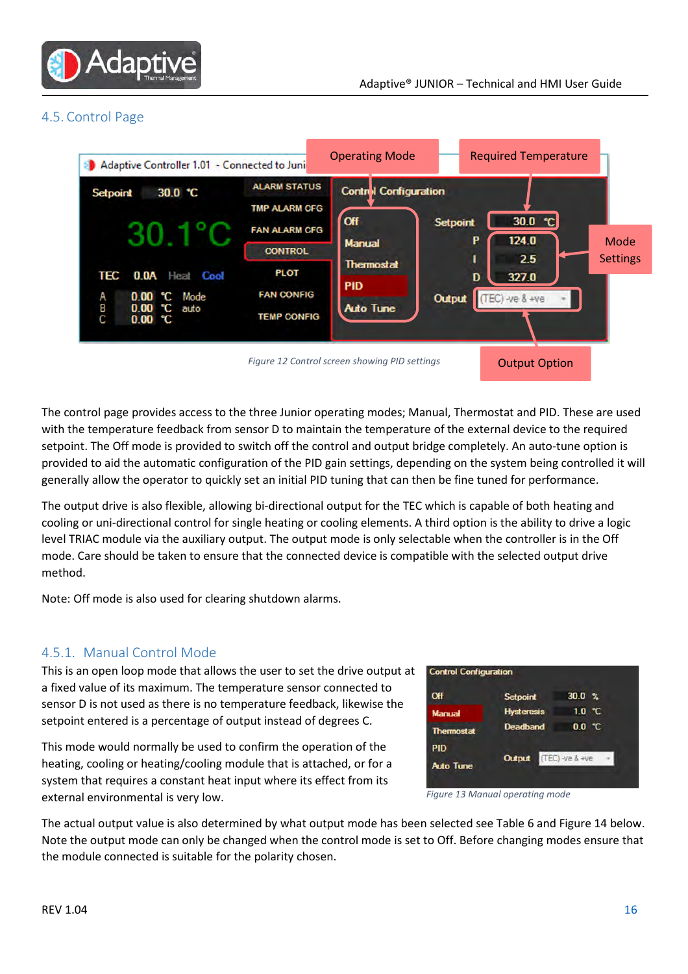

#### 4.5. Control Page



The control page provides access to the three Junior operating modes; Manual, Thermostat and PID. These are used with the temperature feedback from sensor D to maintain the temperature of the external device to the required setpoint. The Off mode is provided to switch off the control and output bridge completely. An auto-tune option is provided to aid the automatic configuration of the PID gain settings, depending on the system being controlled it will generally allow the operator to quickly set an initial PID tuning that can then be fine tuned for performance.

The output drive is also flexible, allowing bi-directional output for the TEC which is capable of both heating and cooling or uni-directional control for single heating or cooling elements. A third option is the ability to drive a logic level TRIAC module via the auxiliary output. The output mode is only selectable when the controller is in the Off mode. Care should be taken to ensure that the connected device is compatible with the selected output drive method.

Note: Off mode is also used for clearing shutdown alarms.

#### 4.5.1. Manual Control Mode

This is an open loop mode that allows the user to set the drive output at a fixed value of its maximum. The temperature sensor connected to sensor D is not used as there is no temperature feedback, likewise the setpoint entered is a percentage of output instead of degrees C.

This mode would normally be used to confirm the operation of the heating, cooling or heating/cooling module that is attached, or for a system that requires a constant heat input where its effect from its external environmental is very low.



Figure 13 Manual operating mode

The actual output value is also determined by what output mode has been selected see Table 6 and Figure 14 below. Note the output mode can only be changed when the control mode is set to Off. Before changing modes ensure that the module connected is suitable for the polarity chosen.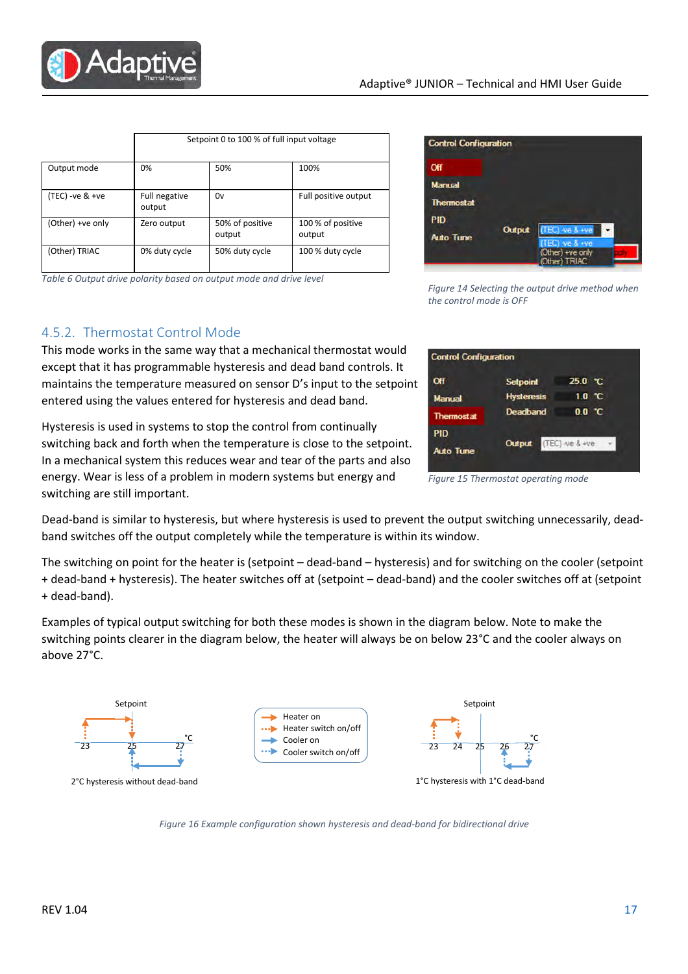**Control Configuration** 

**Control Configuration** 

Off

Manual

**Thermostal PID** 

Off Manual Thermosta PID

**Auto Tune** 

| Figure 14 Selecting the output drive method when |
|--------------------------------------------------|
| the control mode is OFF                          |

Output

the control mode is OFF

 $25.0 °C$ 

 $0.0 C$ 

 $10$ ۴C

 $(TEC) -ve 8 +ve$ 

Figure 15 Thermostat operating mode

Dead-band is similar to hysteresis, but where hysteresis is used to prevent the output switching unnecessarily, deadband switches off the output completely while the temperature is within its window.

The switching on point for the heater is (setpoint – dead-band – hysteresis) and for switching on the cooler (setpoint + dead-band + hysteresis). The heater switches off at (setpoint – dead-band) and the cooler switches off at (setpoint + dead-band).

Examples of typical output switching for both these modes is shown in the diagram below. Note to make the switching points clearer in the diagram below, the heater will always be on below 23°C and the cooler always on above 27°C.



|                    | Setpoint 0 to 100 % of full input voltage |                           |                             |
|--------------------|-------------------------------------------|---------------------------|-----------------------------|
| Output mode        | 0%                                        | 50%                       | 100%                        |
| $(TEC) - ve > +ve$ | Full negative<br>output                   | 0v                        | Full positive output        |
| (Other) +ve only   | Zero output                               | 50% of positive<br>output | 100 % of positive<br>output |
| (Other) TRIAC      | 0% duty cycle                             | 50% duty cycle            | 100 % duty cycle            |

Table 6 Output drive polarity based on output mode and drive level

### 4.5.2. Thermostat Control Mode

Adapt

This mode works in the same way that a mechanical thermostat would except that it has programmable hysteresis and dead band controls. It maintains the temperature measured on sensor D's input to the setpoint entered using the values entered for hysteresis and dead band.

Hysteresis is used in systems to stop the control from continually switching back and forth when the temperature is close to the setpoint. In a mechanical system this reduces wear and tear of the parts and also energy. Wear is less of a problem in modern systems but energy and switching are still important.

23 25 27 Setpoint °C 2°C hysteresis without dead-band 23 24 25 26 27 Setpoint °C 1°C hysteresis with 1°C dead-band Heater on Heater switch on/off Cooler on Cooler switch on/off



**Setpoint Hysteresis** 

Deadhand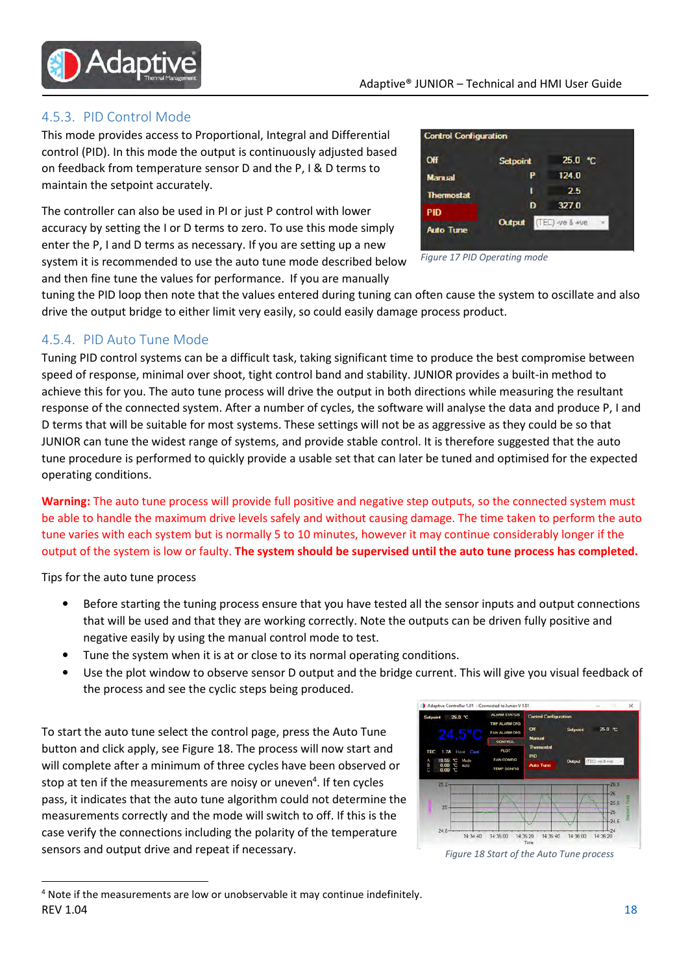

#### 4.5.3. PID Control Mode

This mode provides access to Proportional, Integral and Differential control (PID). In this mode the output is continuously adjusted based on feedback from temperature sensor D and the P, I & D terms to maintain the setpoint accurately.

The controller can also be used in PI or just P control with lower accuracy by setting the I or D terms to zero. To use this mode simply enter the P, I and D terms as necessary. If you are setting up a new system it is recommended to use the auto tune mode described below and then fine tune the values for performance. If you are manually



Figure 17 PID Operating mode

tuning the PID loop then note that the values entered during tuning can often cause the system to oscillate and also drive the output bridge to either limit very easily, so could easily damage process product.

#### 4.5.4. PID Auto Tune Mode

Tuning PID control systems can be a difficult task, taking significant time to produce the best compromise between speed of response, minimal over shoot, tight control band and stability. JUNIOR provides a built-in method to achieve this for you. The auto tune process will drive the output in both directions while measuring the resultant response of the connected system. After a number of cycles, the software will analyse the data and produce P, I and D terms that will be suitable for most systems. These settings will not be as aggressive as they could be so that JUNIOR can tune the widest range of systems, and provide stable control. It is therefore suggested that the auto tune procedure is performed to quickly provide a usable set that can later be tuned and optimised for the expected operating conditions.

Warning: The auto tune process will provide full positive and negative step outputs, so the connected system must be able to handle the maximum drive levels safely and without causing damage. The time taken to perform the auto tune varies with each system but is normally 5 to 10 minutes, however it may continue considerably longer if the output of the system is low or faulty. The system should be supervised until the auto tune process has completed.

Tips for the auto tune process

 $\overline{a}$ 

- Before starting the tuning process ensure that you have tested all the sensor inputs and output connections that will be used and that they are working correctly. Note the outputs can be driven fully positive and negative easily by using the manual control mode to test.
- Tune the system when it is at or close to its normal operating conditions.
- Use the plot window to observe sensor D output and the bridge current. This will give you visual feedback of the process and see the cyclic steps being produced.

To start the auto tune select the control page, press the Auto Tune button and click apply, see Figure 18. The process will now start and will complete after a minimum of three cycles have been observed or stop at ten if the measurements are noisy or uneven<sup>4</sup>. If ten cycles pass, it indicates that the auto tune algorithm could not determine the measurements correctly and the mode will switch to off. If this is the case verify the connections including the polarity of the temperature sensors and output drive and repeat if necessary.



Figure 18 Start of the Auto Tune process

 $REV 1.04$  and  $18$ <sup>4</sup> Note if the measurements are low or unobservable it may continue indefinitely.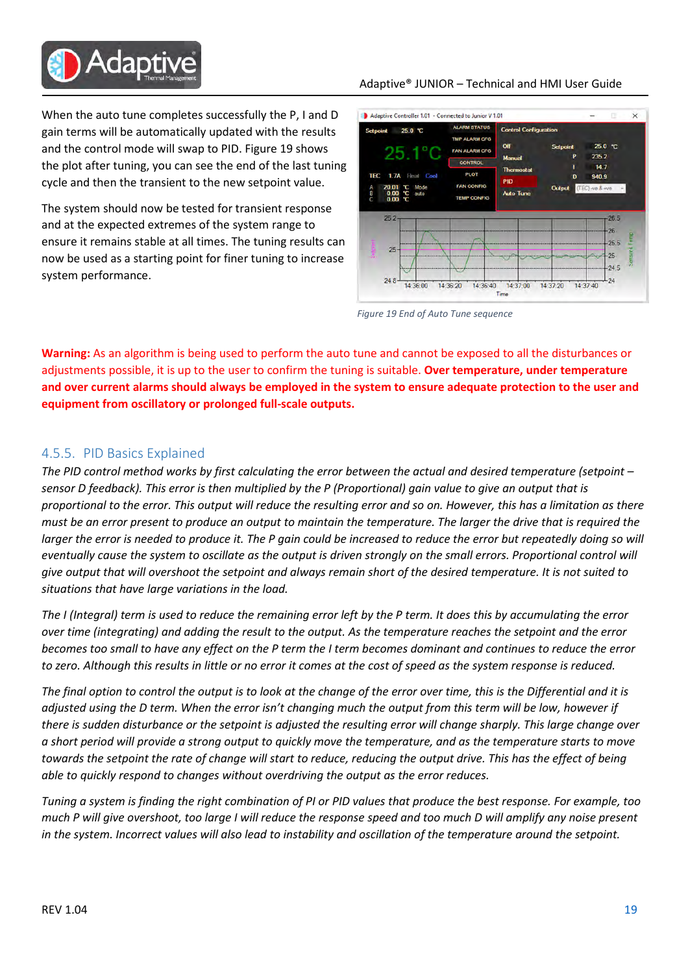

When the auto tune completes successfully the P, I and D gain terms will be automatically updated with the results and the control mode will swap to PID. Figure 19 shows the plot after tuning, you can see the end of the last tuning cycle and then the transient to the new setpoint value.

The system should now be tested for transient response and at the expected extremes of the system range to ensure it remains stable at all times. The tuning results can now be used as a starting point for finer tuning to increase system performance.

#### Adaptive® JUNIOR – Technical and HMI User Guide



Figure 19 End of Auto Tune sequence

Warning: As an algorithm is being used to perform the auto tune and cannot be exposed to all the disturbances or adjustments possible, it is up to the user to confirm the tuning is suitable. Over temperature, under temperature and over current alarms should always be employed in the system to ensure adequate protection to the user and equipment from oscillatory or prolonged full-scale outputs.

#### 4.5.5. PID Basics Explained

The PID control method works by first calculating the error between the actual and desired temperature (setpoint – sensor D feedback). This error is then multiplied by the P (Proportional) gain value to give an output that is proportional to the error. This output will reduce the resulting error and so on. However, this has a limitation as there must be an error present to produce an output to maintain the temperature. The larger the drive that is required the larger the error is needed to produce it. The P gain could be increased to reduce the error but repeatedly doing so will eventually cause the system to oscillate as the output is driven strongly on the small errors. Proportional control will give output that will overshoot the setpoint and always remain short of the desired temperature. It is not suited to situations that have large variations in the load.

The I (Integral) term is used to reduce the remaining error left by the P term. It does this by accumulating the error over time (integrating) and adding the result to the output. As the temperature reaches the setpoint and the error becomes too small to have any effect on the P term the I term becomes dominant and continues to reduce the error to zero. Although this results in little or no error it comes at the cost of speed as the system response is reduced.

The final option to control the output is to look at the change of the error over time, this is the Differential and it is adjusted using the D term. When the error isn't changing much the output from this term will be low, however if there is sudden disturbance or the setpoint is adjusted the resulting error will change sharply. This large change over a short period will provide a strong output to quickly move the temperature, and as the temperature starts to move towards the setpoint the rate of change will start to reduce, reducing the output drive. This has the effect of being able to quickly respond to changes without overdriving the output as the error reduces.

Tuning a system is finding the right combination of PI or PID values that produce the best response. For example, too much P will give overshoot, too large I will reduce the response speed and too much D will amplify any noise present in the system. Incorrect values will also lead to instability and oscillation of the temperature around the setpoint.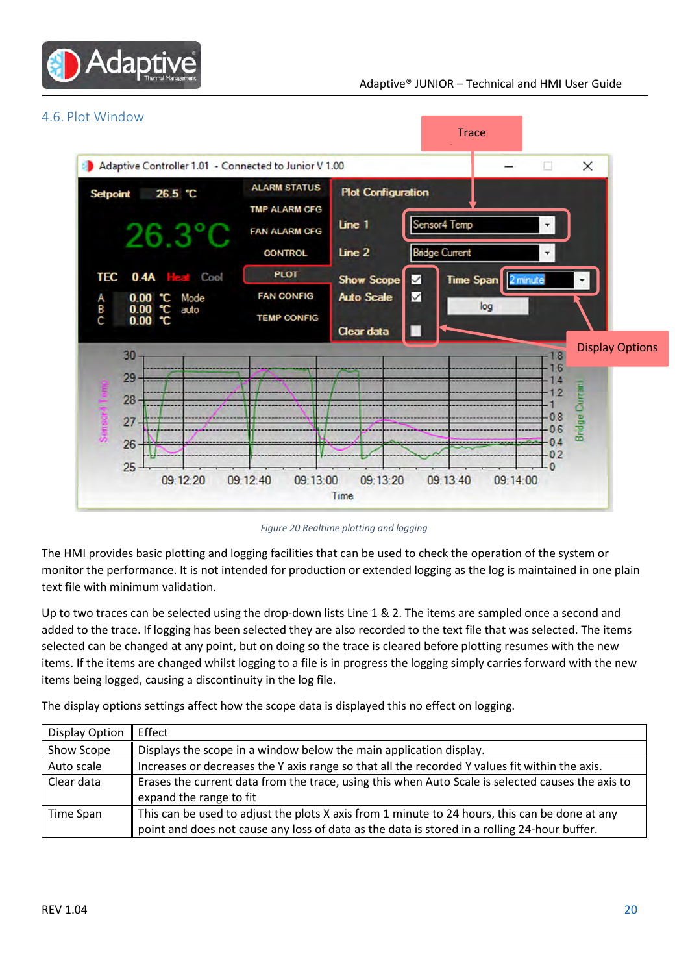



Figure 20 Realtime plotting and logging

The HMI provides basic plotting and logging facilities that can be used to check the operation of the system or monitor the performance. It is not intended for production or extended logging as the log is maintained in one plain text file with minimum validation.

Up to two traces can be selected using the drop-down lists Line 1 & 2. The items are sampled once a second and added to the trace. If logging has been selected they are also recorded to the text file that was selected. The items selected can be changed at any point, but on doing so the trace is cleared before plotting resumes with the new items. If the items are changed whilst logging to a file is in progress the logging simply carries forward with the new items being logged, causing a discontinuity in the log file.

The display options settings affect how the scope data is displayed this no effect on logging.

| Display Option | Effect                                                                                                                                                                                         |  |
|----------------|------------------------------------------------------------------------------------------------------------------------------------------------------------------------------------------------|--|
| Show Scope     | Displays the scope in a window below the main application display.                                                                                                                             |  |
| Auto scale     | Increases or decreases the Y axis range so that all the recorded Y values fit within the axis.                                                                                                 |  |
| Clear data     | Erases the current data from the trace, using this when Auto Scale is selected causes the axis to<br>expand the range to fit                                                                   |  |
| Time Span      | This can be used to adjust the plots X axis from 1 minute to 24 hours, this can be done at any<br>point and does not cause any loss of data as the data is stored in a rolling 24-hour buffer. |  |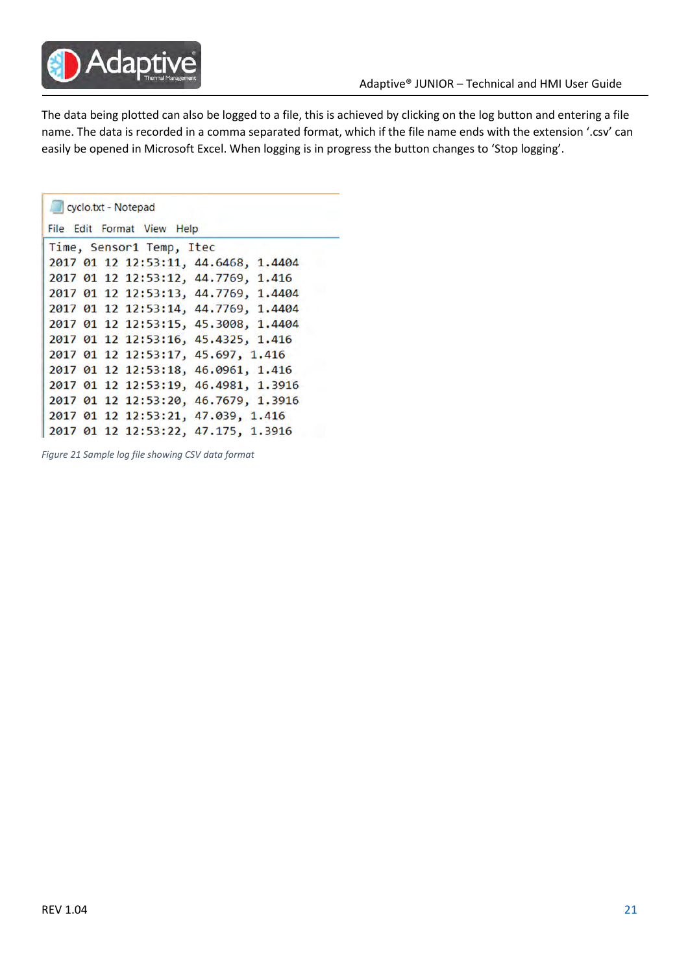

The data being plotted can also be logged to a file, this is achieved by clicking on the log button and entering a file name. The data is recorded in a comma separated format, which if the file name ends with the extension '.csv' can easily be opened in Microsoft Excel. When logging is in progress the button changes to 'Stop logging'.

| cyclo.txt - Notepad                  |  |  |  |
|--------------------------------------|--|--|--|
| File Edit Format View Help           |  |  |  |
| Time, Sensor1 Temp, Itec             |  |  |  |
| 2017 01 12 12:53:11, 44.6468, 1.4404 |  |  |  |
| 2017 01 12 12:53:12, 44.7769, 1.416  |  |  |  |
| 2017 01 12 12:53:13, 44.7769, 1.4404 |  |  |  |
| 2017 01 12 12:53:14, 44.7769, 1.4404 |  |  |  |
| 2017 01 12 12:53:15, 45.3008, 1.4404 |  |  |  |
| 2017 01 12 12:53:16, 45.4325, 1.416  |  |  |  |
| 2017 01 12 12:53:17, 45.697, 1.416   |  |  |  |
| 2017 01 12 12:53:18, 46.0961, 1.416  |  |  |  |
| 2017 01 12 12:53:19, 46.4981, 1.3916 |  |  |  |
| 2017 01 12 12:53:20, 46.7679, 1.3916 |  |  |  |
| 2017 01 12 12:53:21, 47.039, 1.416   |  |  |  |
| 2017 01 12 12:53:22, 47.175, 1.3916  |  |  |  |

Figure 21 Sample log file showing CSV data format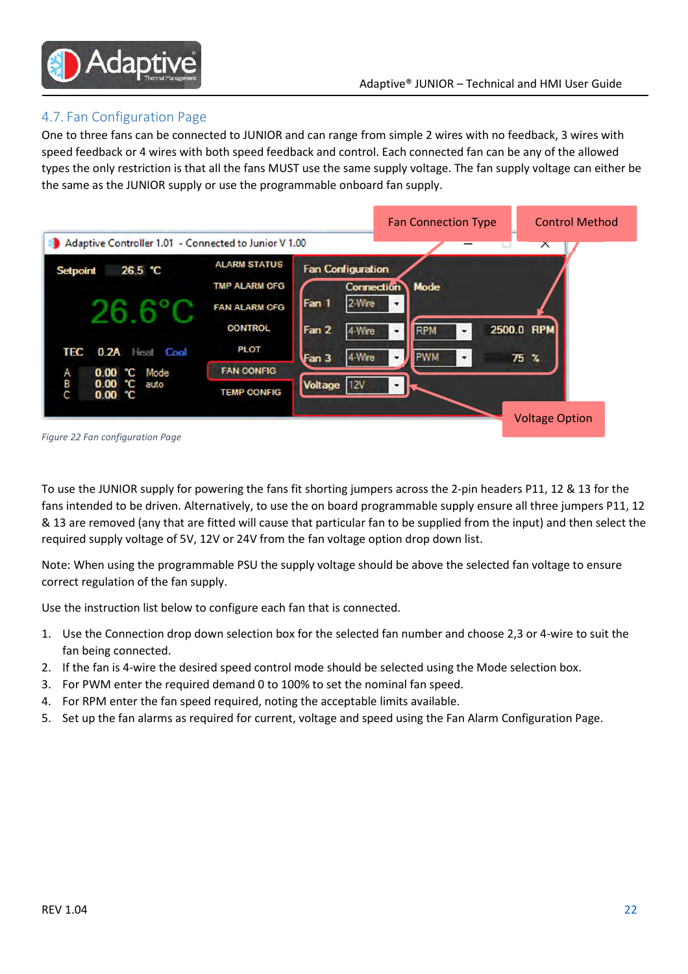

#### 4.7. Fan Configuration Page

One to three fans can be connected to JUNIOR and can range from simple 2 wires with no feedback, 3 wires with speed feedback or 4 wires with both speed feedback and control. Each connected fan can be any of the allowed types the only restriction is that all the fans MUST use the same supply voltage. The fan supply voltage can either be the same as the JUNIOR supply or use the programmable onboard fan supply.



Figure 22 Fan configuration Page

To use the JUNIOR supply for powering the fans fit shorting jumpers across the 2-pin headers P11, 12 & 13 for the fans intended to be driven. Alternatively, to use the on board programmable supply ensure all three jumpers P11, 12 & 13 are removed (any that are fitted will cause that particular fan to be supplied from the input) and then select the required supply voltage of 5V, 12V or 24V from the fan voltage option drop down list.

Note: When using the programmable PSU the supply voltage should be above the selected fan voltage to ensure correct regulation of the fan supply.

Use the instruction list below to configure each fan that is connected.

- 1. Use the Connection drop down selection box for the selected fan number and choose 2,3 or 4-wire to suit the fan being connected.
- 2. If the fan is 4-wire the desired speed control mode should be selected using the Mode selection box.
- 3. For PWM enter the required demand 0 to 100% to set the nominal fan speed.
- 4. For RPM enter the fan speed required, noting the acceptable limits available.
- 5. Set up the fan alarms as required for current, voltage and speed using the Fan Alarm Configuration Page.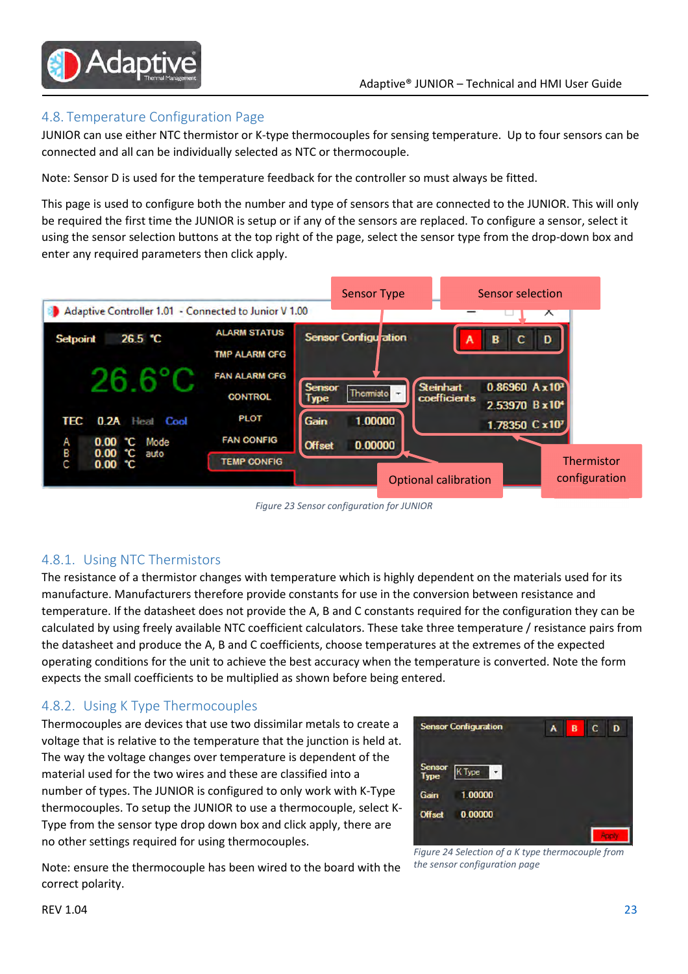

#### 4.8. Temperature Configuration Page

JUNIOR can use either NTC thermistor or K-type thermocouples for sensing temperature. Up to four sensors can be connected and all can be individually selected as NTC or thermocouple.

Note: Sensor D is used for the temperature feedback for the controller so must always be fitted.

This page is used to configure both the number and type of sensors that are connected to the JUNIOR. This will only be required the first time the JUNIOR is setup or if any of the sensors are replaced. To configure a sensor, select it using the sensor selection buttons at the top right of the page, select the sensor type from the drop-down box and enter any required parameters then click apply.



Figure 23 Sensor configuration for JUNIOR

#### 4.8.1. Using NTC Thermistors

The resistance of a thermistor changes with temperature which is highly dependent on the materials used for its manufacture. Manufacturers therefore provide constants for use in the conversion between resistance and temperature. If the datasheet does not provide the A, B and C constants required for the configuration they can be calculated by using freely available NTC coefficient calculators. These take three temperature / resistance pairs from the datasheet and produce the A, B and C coefficients, choose temperatures at the extremes of the expected operating conditions for the unit to achieve the best accuracy when the temperature is converted. Note the form expects the small coefficients to be multiplied as shown before being entered.

#### 4.8.2. Using K Type Thermocouples

Thermocouples are devices that use two dissimilar metals to create a voltage that is relative to the temperature that the junction is held at. The way the voltage changes over temperature is dependent of the material used for the two wires and these are classified into a number of types. The JUNIOR is configured to only work with K-Type thermocouples. To setup the JUNIOR to use a thermocouple, select K-Type from the sensor type drop down box and click apply, there are no other settings required for using thermocouples.



Figure 24 Selection of a K type thermocouple from the sensor configuration page

Note: ensure the thermocouple has been wired to the board with the correct polarity.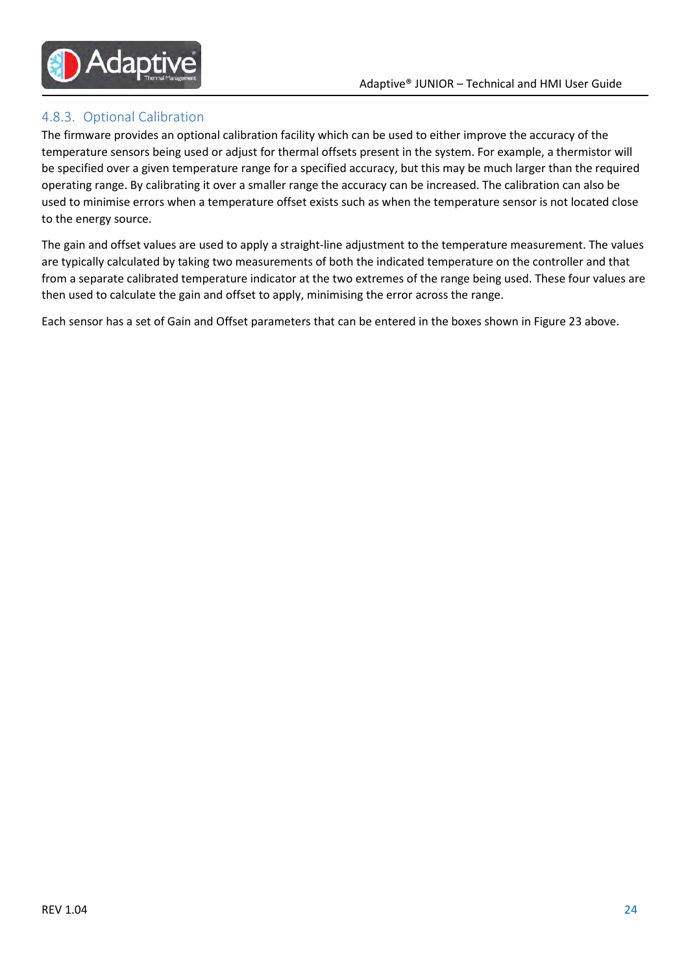

#### 4.8.3. Optional Calibration

The firmware provides an optional calibration facility which can be used to either improve the accuracy of the temperature sensors being used or adjust for thermal offsets present in the system. For example, a thermistor will be specified over a given temperature range for a specified accuracy, but this may be much larger than the required operating range. By calibrating it over a smaller range the accuracy can be increased. The calibration can also be used to minimise errors when a temperature offset exists such as when the temperature sensor is not located close to the energy source.

The gain and offset values are used to apply a straight-line adjustment to the temperature measurement. The values are typically calculated by taking two measurements of both the indicated temperature on the controller and that from a separate calibrated temperature indicator at the two extremes of the range being used. These four values are then used to calculate the gain and offset to apply, minimising the error across the range.

Each sensor has a set of Gain and Offset parameters that can be entered in the boxes shown in Figure 23 above.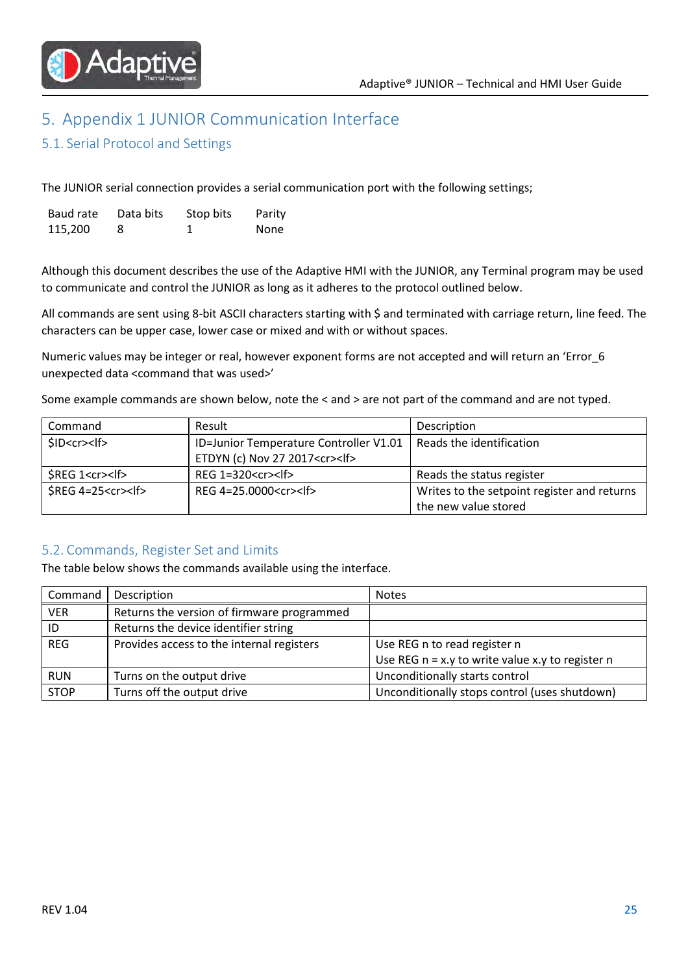

# 5. Appendix 1 JUNIOR Communication Interface

#### 5.1. Serial Protocol and Settings

The JUNIOR serial connection provides a serial communication port with the following settings;

| Baud rate | Data bits | Stop bits | Parity |
|-----------|-----------|-----------|--------|
| 115,200   | 8         |           | None   |

Although this document describes the use of the Adaptive HMI with the JUNIOR, any Terminal program may be used to communicate and control the JUNIOR as long as it adheres to the protocol outlined below.

All commands are sent using 8-bit ASCII characters starting with \$ and terminated with carriage return, line feed. The characters can be upper case, lower case or mixed and with or without spaces.

Numeric values may be integer or real, however exponent forms are not accepted and will return an 'Error\_6 unexpected data <command that was used>'

Some example commands are shown below, note the < and > are not part of the command and are not typed.

| Command                    | Result                                   | Description                                 |  |
|----------------------------|------------------------------------------|---------------------------------------------|--|
| SID < c r > l f            | ID=Junior Temperature Controller V1.01   | Reads the identification                    |  |
|                            | ETDYN (c) Nov 27 2017 <cr><lf></lf></cr> |                                             |  |
| \$REG 1 <cr><lf></lf></cr> | REG $1=320 < c$ r $>$ lf $>$             | Reads the status register                   |  |
| $$REG 4=25 < cr>15$        | REG 4=25.0000 <cr><lf></lf></cr>         | Writes to the setpoint register and returns |  |
|                            |                                          | the new value stored                        |  |

#### 5.2. Commands, Register Set and Limits

The table below shows the commands available using the interface.

| Command     | Description                                | <b>Notes</b>                                       |
|-------------|--------------------------------------------|----------------------------------------------------|
| <b>VER</b>  | Returns the version of firmware programmed |                                                    |
| ID          | Returns the device identifier string       |                                                    |
| <b>REG</b>  | Provides access to the internal registers  | Use REG n to read register n                       |
|             |                                            | Use REG $n = x.y$ to write value x.y to register n |
| <b>RUN</b>  | Turns on the output drive                  | Unconditionally starts control                     |
| <b>STOP</b> | Turns off the output drive                 | Unconditionally stops control (uses shutdown)      |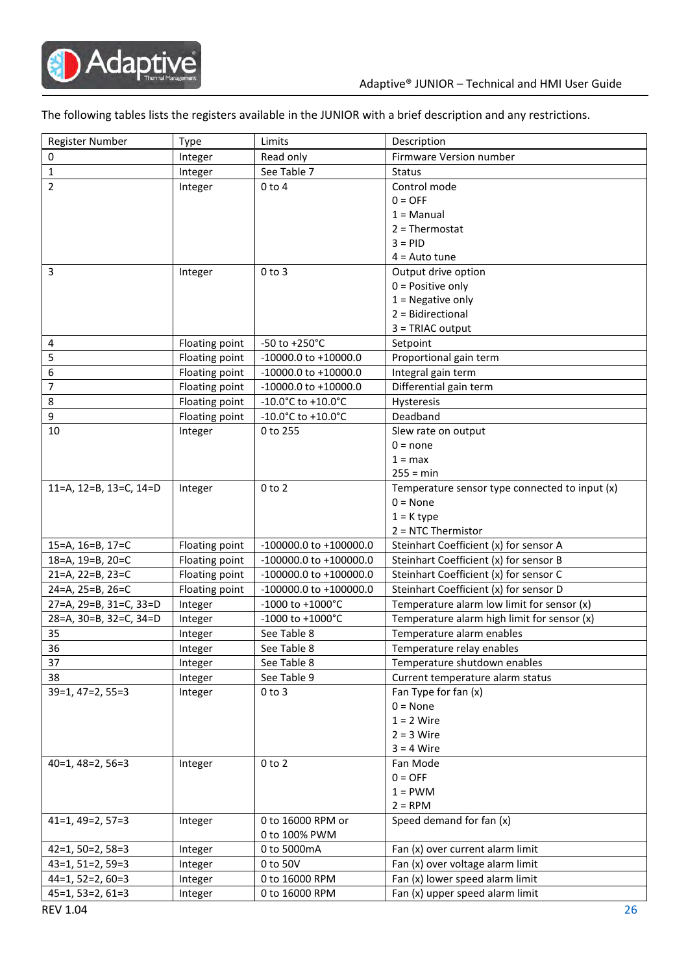

The following tables lists the registers available in the JUNIOR with a brief description and any restrictions.

| <b>Register Number</b> | Type           | Limits                     | Description                                    |
|------------------------|----------------|----------------------------|------------------------------------------------|
| 0                      | Integer        | Read only                  | Firmware Version number                        |
| $\mathbf{1}$           | Integer        | See Table 7                | <b>Status</b>                                  |
| $\overline{2}$         | Integer        | $0$ to $4$                 | Control mode                                   |
|                        |                |                            | $0 = OFF$                                      |
|                        |                |                            | $1 =$ Manual                                   |
|                        |                |                            | $2 = Thermostat$                               |
|                        |                |                            | $3 = PID$                                      |
|                        |                |                            | $4 =$ Auto tune                                |
| 3                      | Integer        | $0$ to $3$                 | Output drive option                            |
|                        |                |                            | $0 = Positive only$                            |
|                        |                |                            | $1 =$ Negative only                            |
|                        |                |                            | 2 = Bidirectional                              |
|                        |                |                            | $3 = TRIAC output$                             |
| 4                      | Floating point | $-50$ to $+250^{\circ}$ C  | Setpoint                                       |
| 5                      | Floating point | $-10000.0$ to $+10000.0$   | Proportional gain term                         |
| 6                      | Floating point | $-10000.0$ to $+10000.0$   | Integral gain term                             |
| 7                      | Floating point | -10000.0 to +10000.0       | Differential gain term                         |
| 8                      | Floating point | -10.0°C to +10.0°C         | Hysteresis                                     |
| 9                      | Floating point | -10.0°C to +10.0°C         | Deadband                                       |
| 10                     | Integer        | 0 to 255                   | Slew rate on output                            |
|                        |                |                            | $0 = none$                                     |
|                        |                |                            | $1 = max$                                      |
|                        |                |                            | $255 = min$                                    |
| 11=A, 12=B, 13=C, 14=D | Integer        | $0$ to $2$                 | Temperature sensor type connected to input (x) |
|                        |                |                            | $0 = None$                                     |
|                        |                |                            | $1 = K$ type                                   |
|                        |                |                            | $2 = NTC$ Thermistor                           |
| 15=A, 16=B, 17=C       | Floating point | $-100000.0$ to $+100000.0$ | Steinhart Coefficient (x) for sensor A         |
| 18=A, 19=B, 20=C       | Floating point | -100000.0 to +100000.0     | Steinhart Coefficient (x) for sensor B         |
| 21=A, 22=B, 23=C       | Floating point | $-100000.0$ to $+100000.0$ | Steinhart Coefficient (x) for sensor C         |
| 24=A, 25=B, 26=C       | Floating point | $-100000.0$ to $+100000.0$ | Steinhart Coefficient (x) for sensor D         |
| 27=A, 29=B, 31=C, 33=D | Integer        | -1000 to +1000°C           | Temperature alarm low limit for sensor (x)     |
| 28=A, 30=B, 32=C, 34=D | Integer        | -1000 to +1000°C           | Temperature alarm high limit for sensor (x)    |
| 35                     | Integer        | See Table 8                | Temperature alarm enables                      |
| 36                     | Integer        | See Table 8                | Temperature relay enables                      |
| 37                     | Integer        | See Table 8                | Temperature shutdown enables                   |
| 38                     | Integer        | See Table 9                | Current temperature alarm status               |
| $39=1, 47=2, 55=3$     | Integer        | $0$ to $3$                 | Fan Type for fan (x)                           |
|                        |                |                            | $0 = None$                                     |
|                        |                |                            | $1 = 2$ Wire                                   |
|                        |                |                            | $2 = 3$ Wire                                   |
|                        |                |                            | $3 = 4$ Wire                                   |
| $40=1, 48=2, 56=3$     | Integer        | $0$ to $2$                 | Fan Mode                                       |
|                        |                |                            | $0 = OFF$                                      |
|                        |                |                            | $1 = PWM$                                      |
|                        |                |                            | $2 = RPM$                                      |
| $41=1, 49=2, 57=3$     | Integer        | 0 to 16000 RPM or          | Speed demand for fan (x)                       |
|                        |                | 0 to 100% PWM              |                                                |
| $42=1, 50=2, 58=3$     | Integer        | 0 to 5000mA                | Fan (x) over current alarm limit               |
| $43=1, 51=2, 59=3$     | Integer        | 0 to 50V                   | Fan (x) over voltage alarm limit               |
| $44=1, 52=2, 60=3$     | Integer        | 0 to 16000 RPM             | Fan (x) lower speed alarm limit                |
| $45=1, 53=2, 61=3$     | Integer        | 0 to 16000 RPM             | Fan (x) upper speed alarm limit                |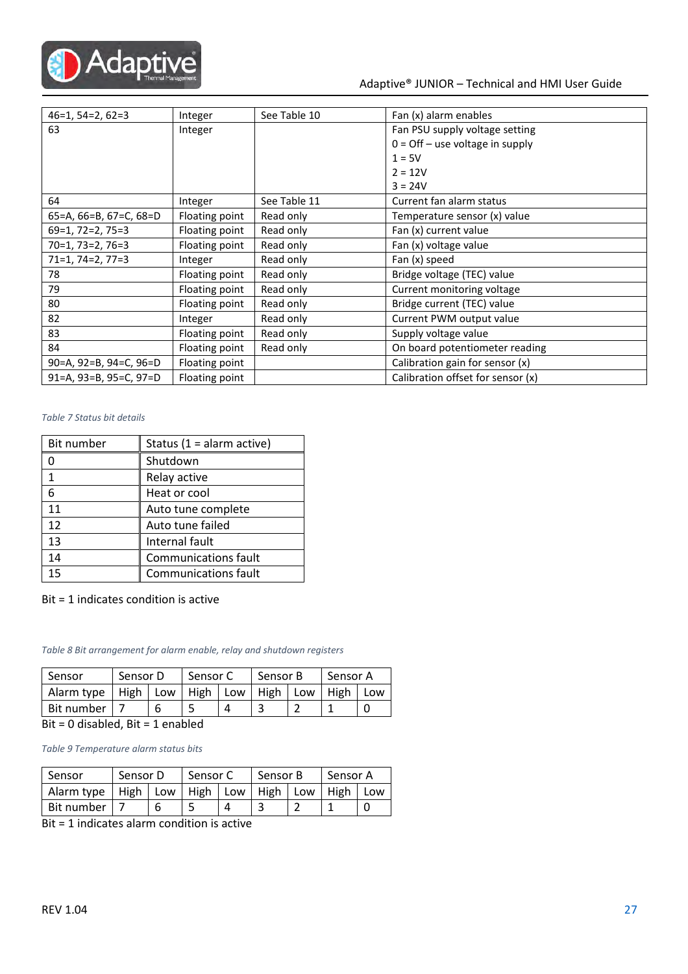

#### Adaptive® JUNIOR – Technical and HMI User Guide

| $46=1, 54=2, 62=3$     | Integer        | See Table 10 | Fan (x) alarm enables             |
|------------------------|----------------|--------------|-----------------------------------|
| 63                     | Integer        |              | Fan PSU supply voltage setting    |
|                        |                |              | $0 =$ Off - use voltage in supply |
|                        |                |              | $1 = 5V$                          |
|                        |                |              | $2 = 12V$                         |
|                        |                |              | $3 = 24V$                         |
| 64                     | Integer        | See Table 11 | Current fan alarm status          |
| 65=A, 66=B, 67=C, 68=D | Floating point | Read only    | Temperature sensor (x) value      |
| $69=1, 72=2, 75=3$     | Floating point | Read only    | Fan (x) current value             |
| $70=1, 73=2, 76=3$     | Floating point | Read only    | Fan (x) voltage value             |
| $71=1, 74=2, 77=3$     | Integer        | Read only    | Fan (x) speed                     |
| 78                     | Floating point | Read only    | Bridge voltage (TEC) value        |
| 79                     | Floating point | Read only    | Current monitoring voltage        |
| 80                     | Floating point | Read only    | Bridge current (TEC) value        |
| 82                     | Integer        | Read only    | Current PWM output value          |
| 83                     | Floating point | Read only    | Supply voltage value              |
| 84                     | Floating point | Read only    | On board potentiometer reading    |
| 90=A, 92=B, 94=C, 96=D | Floating point |              | Calibration gain for sensor (x)   |
| 91=A, 93=B, 95=C, 97=D | Floating point |              | Calibration offset for sensor (x) |

#### Table 7 Status bit details

| Bit number | Status (1 = alarm active)   |
|------------|-----------------------------|
|            | Shutdown                    |
| 1          | Relay active                |
| 6          | Heat or cool                |
| 11         | Auto tune complete          |
| 12         | Auto tune failed            |
| 13         | Internal fault              |
| 14         | <b>Communications fault</b> |
| 15         | Communications fault        |

#### Bit = 1 indicates condition is active

Table 8 Bit arrangement for alarm enable, relay and shutdown registers

| Sensor            | Sensor D |  | Sensor C |     | Sensor B |     | Sensor A |     |  |
|-------------------|----------|--|----------|-----|----------|-----|----------|-----|--|
| Alarm type   High | Low      |  | High     | Low | High     | Low | High     | Low |  |
| Bit number        |          |  |          |     |          |     |          |     |  |

Bit = 0 disabled, Bit = 1 enabled

Table 9 Temperature alarm status bits

| Sensor     | Sensor D                                          |  | Sensor C |  | Sensor B |  | Sensor A |     |
|------------|---------------------------------------------------|--|----------|--|----------|--|----------|-----|
|            | Alarm type   High   Low   High   Low   High   Low |  |          |  |          |  | High     | Low |
| Bit number |                                                   |  |          |  |          |  |          |     |

Bit = 1 indicates alarm condition is active